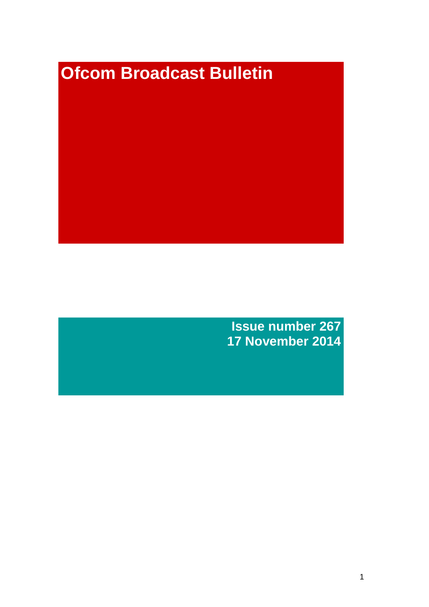# **Ofcom Broadcast Bulletin**

**Issue number 267 17 November 2014**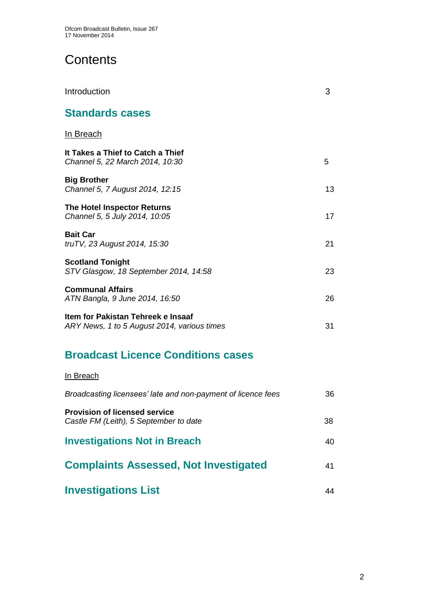# **Contents**

| Introduction                                                                      | 3  |
|-----------------------------------------------------------------------------------|----|
| <b>Standards cases</b>                                                            |    |
| <u>In Breach</u>                                                                  |    |
| It Takes a Thief to Catch a Thief<br>Channel 5, 22 March 2014, 10:30              | 5  |
| <b>Big Brother</b><br>Channel 5, 7 August 2014, 12:15                             | 13 |
| <b>The Hotel Inspector Returns</b><br>Channel 5, 5 July 2014, 10:05               | 17 |
| <b>Bait Car</b><br>truTV, 23 August 2014, 15:30                                   | 21 |
| <b>Scotland Tonight</b><br>STV Glasgow, 18 September 2014, 14:58                  | 23 |
| <b>Communal Affairs</b><br>ATN Bangla, 9 June 2014, 16:50                         | 26 |
| Item for Pakistan Tehreek e Insaaf<br>ARY News, 1 to 5 August 2014, various times | 31 |

# **Broadcast Licence Conditions cases**

## In Breach

| Broadcasting licensees' late and non-payment of licence fees                   | 36 |
|--------------------------------------------------------------------------------|----|
| <b>Provision of licensed service</b><br>Castle FM (Leith), 5 September to date | 38 |
| <b>Investigations Not in Breach</b>                                            | 40 |
| <b>Complaints Assessed, Not Investigated</b>                                   | 41 |
| <b>Investigations List</b>                                                     | 44 |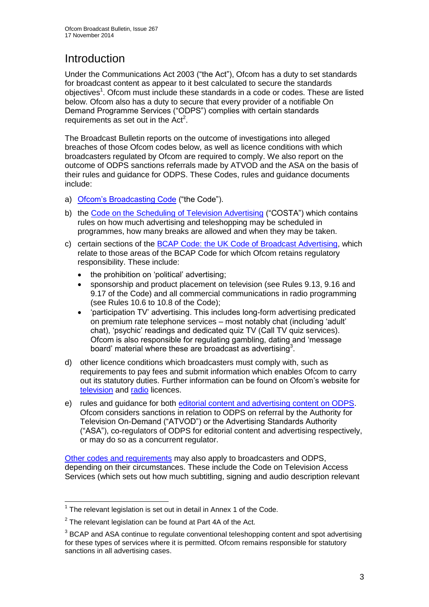# **Introduction**

Under the Communications Act 2003 ("the Act"), Ofcom has a duty to set standards for broadcast content as appear to it best calculated to secure the standards objectives<sup>1</sup>. Ofcom must include these standards in a code or codes. These are listed below. Ofcom also has a duty to secure that every provider of a notifiable On Demand Programme Services ("ODPS") complies with certain standards requirements as set out in the  $Act<sup>2</sup>$ .

The Broadcast Bulletin reports on the outcome of investigations into alleged breaches of those Ofcom codes below, as well as licence conditions with which broadcasters regulated by Ofcom are required to comply. We also report on the outcome of ODPS sanctions referrals made by ATVOD and the ASA on the basis of their rules and guidance for ODPS. These Codes, rules and guidance documents include:

- a) [Ofcom's Broadcasting Code](http://stakeholders.ofcom.org.uk/broadcasting/broadcast-codes/broadcast-code/) ("the Code").
- b) the [Code on the Scheduling of Television Advertising](http://stakeholders.ofcom.org.uk/broadcasting/broadcast-codes/advert-code/) ("COSTA") which contains rules on how much advertising and teleshopping may be scheduled in programmes, how many breaks are allowed and when they may be taken.
- c) certain sections of the [BCAP Code: the UK Code of Broadcast Advertising,](http://www.bcap.org.uk/Advertising-Codes/Broadcast-HTML.aspx) which relate to those areas of the BCAP Code for which Ofcom retains regulatory responsibility. These include:
	- the prohibition on 'political' advertising:
	- sponsorship and product placement on television (see Rules 9.13, 9.16 and 9.17 of the Code) and all commercial communications in radio programming (see Rules 10.6 to 10.8 of the Code);
	- 'participation TV' advertising. This includes long-form advertising predicated on premium rate telephone services – most notably chat (including 'adult' chat), 'psychic' readings and dedicated quiz TV (Call TV quiz services). Ofcom is also responsible for regulating gambling, dating and 'message board' material where these are broadcast as advertising<sup>3</sup>.
- d) other licence conditions which broadcasters must comply with, such as requirements to pay fees and submit information which enables Ofcom to carry out its statutory duties. Further information can be found on Ofcom's website for [television](http://licensing.ofcom.org.uk/tv-broadcast-licences/) and [radio](http://licensing.ofcom.org.uk/radio-broadcast-licensing/) licences.
- e) rules and guidance for both [editorial content and advertising content on ODPS.](http://www.atvod.co.uk/uploads/files/ATVOD_Rules_and_Guidance_Ed_2.0_May_2012.pdf) Ofcom considers sanctions in relation to ODPS on referral by the Authority for Television On-Demand ("ATVOD") or the Advertising Standards Authority ("ASA"), co-regulators of ODPS for editorial content and advertising respectively, or may do so as a concurrent regulator.

[Other codes and requirements](http://stakeholders.ofcom.org.uk/broadcasting/broadcast-codes/) may also apply to broadcasters and ODPS, depending on their circumstances. These include the Code on Television Access Services (which sets out how much subtitling, signing and audio description relevant

<sup>1</sup>  $1$  The relevant legislation is set out in detail in Annex 1 of the Code.

 $2$  The relevant legislation can be found at Part 4A of the Act.

 $3$  BCAP and ASA continue to regulate conventional teleshopping content and spot advertising for these types of services where it is permitted. Ofcom remains responsible for statutory sanctions in all advertising cases.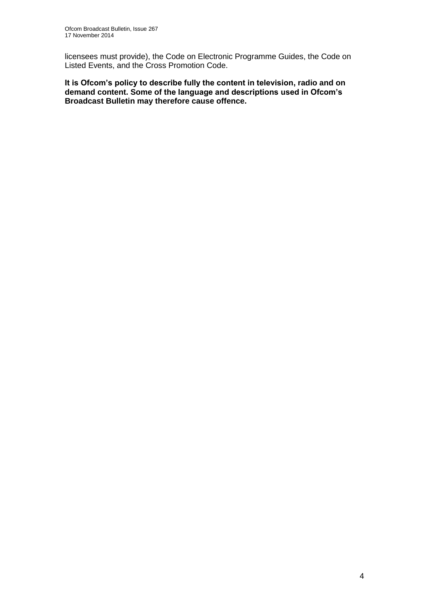licensees must provide), the Code on Electronic Programme Guides, the Code on Listed Events, and the Cross Promotion Code.

**It is Ofcom's policy to describe fully the content in television, radio and on demand content. Some of the language and descriptions used in Ofcom's Broadcast Bulletin may therefore cause offence.**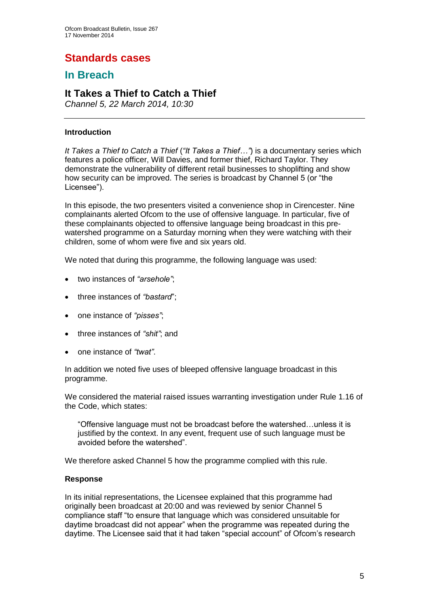# **Standards cases**

## **In Breach**

## **It Takes a Thief to Catch a Thief**

*Channel 5, 22 March 2014, 10:30*

#### **Introduction**

*It Takes a Thief to Catch a Thief* (*"It Takes a Thief…"*) is a documentary series which features a police officer, Will Davies, and former thief, Richard Taylor. They demonstrate the vulnerability of different retail businesses to shoplifting and show how security can be improved. The series is broadcast by Channel 5 (or "the Licensee").

In this episode, the two presenters visited a convenience shop in Cirencester. Nine complainants alerted Ofcom to the use of offensive language. In particular, five of these complainants objected to offensive language being broadcast in this prewatershed programme on a Saturday morning when they were watching with their children, some of whom were five and six years old.

We noted that during this programme, the following language was used:

- two instances of *"arsehole"*;
- three instances of *"bastard*";
- one instance of *"pisses"*;
- three instances of *"shit"*; and
- one instance of *"twat"*.

In addition we noted five uses of bleeped offensive language broadcast in this programme.

We considered the material raised issues warranting investigation under Rule 1.16 of the Code, which states:

"Offensive language must not be broadcast before the watershed…unless it is justified by the context. In any event, frequent use of such language must be avoided before the watershed".

We therefore asked Channel 5 how the programme complied with this rule.

#### **Response**

In its initial representations, the Licensee explained that this programme had originally been broadcast at 20:00 and was reviewed by senior Channel 5 compliance staff "to ensure that language which was considered unsuitable for daytime broadcast did not appear" when the programme was repeated during the daytime. The Licensee said that it had taken "special account" of Ofcom's research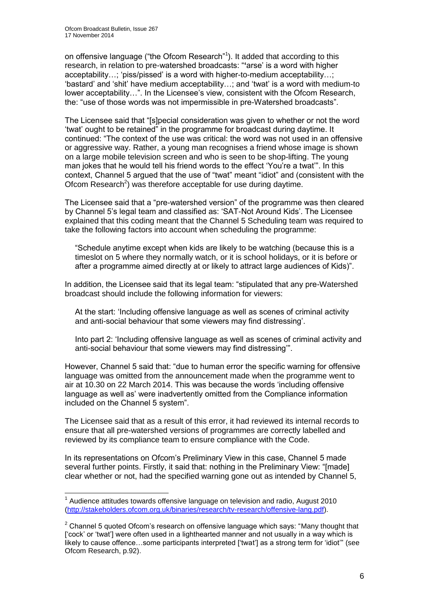1

on offensive language ("the Ofcom Research"<sup>1</sup>). It added that according to this research, in relation to pre-watershed broadcasts: "**'**arse' is a word with higher acceptability…; 'piss/pissed' is a word with higher-to-medium acceptability…; 'bastard' and 'shit' have medium acceptability…; and 'twat' is a word with medium-to lower acceptability…". In the Licensee's view, consistent with the Ofcom Research, the: "use of those words was not impermissible in pre-Watershed broadcasts".

The Licensee said that "[s]pecial consideration was given to whether or not the word 'twat' ought to be retained" in the programme for broadcast during daytime. It continued: "The context of the use was critical: the word was not used in an offensive or aggressive way. Rather, a young man recognises a friend whose image is shown on a large mobile television screen and who is seen to be shop-lifting. The young man jokes that he would tell his friend words to the effect 'You're a twat'". In this context, Channel 5 argued that the use of "twat" meant "idiot" and (consistent with the Ofcom Research<sup>2</sup>) was therefore acceptable for use during daytime.

The Licensee said that a "pre-watershed version" of the programme was then cleared by Channel 5's legal team and classified as: 'SAT-Not Around Kids'. The Licensee explained that this coding meant that the Channel 5 Scheduling team was required to take the following factors into account when scheduling the programme:

"Schedule anytime except when kids are likely to be watching (because this is a timeslot on 5 where they normally watch, or it is school holidays, or it is before or after a programme aimed directly at or likely to attract large audiences of Kids)".

In addition, the Licensee said that its legal team: "stipulated that any pre-Watershed broadcast should include the following information for viewers:

At the start: 'Including offensive language as well as scenes of criminal activity and anti-social behaviour that some viewers may find distressing'.

Into part 2: 'Including offensive language as well as scenes of criminal activity and anti-social behaviour that some viewers may find distressing'".

However, Channel 5 said that: "due to human error the specific warning for offensive language was omitted from the announcement made when the programme went to air at 10.30 on 22 March 2014. This was because the words 'including offensive language as well as' were inadvertently omitted from the Compliance information included on the Channel 5 system".

The Licensee said that as a result of this error, it had reviewed its internal records to ensure that all pre-watershed versions of programmes are correctly labelled and reviewed by its compliance team to ensure compliance with the Code.

In its representations on Ofcom's Preliminary View in this case, Channel 5 made several further points. Firstly, it said that: nothing in the Preliminary View: "[made] clear whether or not, had the specified warning gone out as intended by Channel 5,

 $1$  Audience attitudes towards offensive language on television and radio, August 2010 [\(http://stakeholders.ofcom.org.uk/binaries/research/tv-research/offensive-lang.pdf\)](http://stakeholders.ofcom.org.uk/binaries/research/tv-research/offensive-lang.pdf).

 $2$  Channel 5 quoted Ofcom's research on offensive language which says: "Many thought that ['cock' or 'twat'] were often used in a lighthearted manner and not usually in a way which is likely to cause offence…some participants interpreted ['twat'] as a strong term for 'idiot'" (see Ofcom Research, p.92).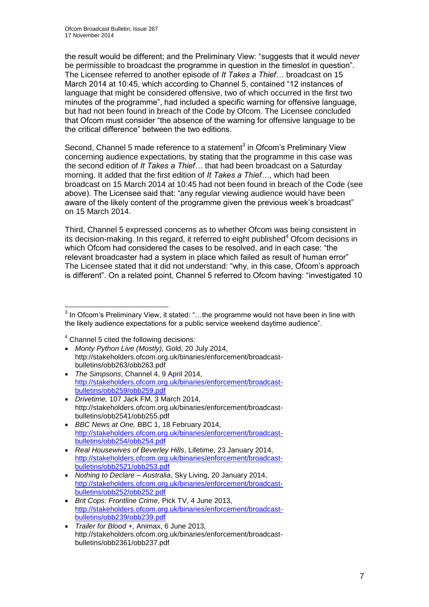the result would be different; and the Preliminary View: "suggests that it would *never* be permissible to broadcast the programme in question in the timeslot in question". The Licensee referred to another episode of *It Takes a Thief…* broadcast on 15 March 2014 at 10:45, which according to Channel 5, contained "12 instances of language that might be considered offensive, two of which occurred in the first two minutes of the programme", had included a specific warning for offensive language, but had not been found in breach of the Code by Ofcom. The Licensee concluded that Ofcom must consider "the absence of the warning for offensive language to be the critical difference" between the two editions.

Second, Channel 5 made reference to a statement $3$  in Ofcom's Preliminary View concerning audience expectations, by stating that the programme in this case was the second edition of *It Takes a Thief…* that had been broadcast on a Saturday morning. It added that the first edition of *It Takes a Thief…*, which had been broadcast on 15 March 2014 at 10:45 had not been found in breach of the Code (see above). The Licensee said that: "any regular viewing audience would have been aware of the likely content of the programme given the previous week's broadcast" on 15 March 2014.

Third, Channel 5 expressed concerns as to whether Ofcom was being consistent in its decision-making. In this regard, it referred to eight published $4$  Ofcom decisions in which Ofcom had considered the cases to be resolved, and in each case: "the relevant broadcaster had a system in place which failed as result of human error" The Licensee stated that it did not understand: "why, in this case, Ofcom's approach is different". On a related point, Channel 5 referred to Ofcom having: "investigated 10

<sup>4</sup> Channel 5 cited the following decisions:

- *Monty Python Live (Mostly),* Gold, 20 July 2014, http://stakeholders.ofcom.org.uk/binaries/enforcement/broadcastbulletins/obb263/obb263.pdf
- *The Simpsons*, Channel 4, 9 April 2014, [http://stakeholders.ofcom.org.uk/binaries/enforcement/broadcast](http://stakeholders.ofcom.org.uk/binaries/enforcement/broadcast-bulletins/obb259/obb259.pdf)[bulletins/obb259/obb259.pdf](http://stakeholders.ofcom.org.uk/binaries/enforcement/broadcast-bulletins/obb259/obb259.pdf)
- *Drivetime,* 107 Jack FM, 3 March 2014, http://stakeholders.ofcom.org.uk/binaries/enforcement/broadcastbulletins/obb2541/obb255.pdf
- *BBC News at One,* BBC 1, 18 February 2014, [http://stakeholders.ofcom.org.uk/binaries/enforcement/broadcast](http://stakeholders.ofcom.org.uk/binaries/enforcement/broadcast-bulletins/obb254/obb254.pdf)[bulletins/obb254/obb254.pdf](http://stakeholders.ofcom.org.uk/binaries/enforcement/broadcast-bulletins/obb254/obb254.pdf)
- *Real Housewives of Beverley Hills*, Lifetime, 23 January 2014, [http://stakeholders.ofcom.org.uk/binaries/enforcement/broadcast](http://stakeholders.ofcom.org.uk/binaries/enforcement/broadcast-bulletins/obb2521/obb253.pdf)[bulletins/obb2521/obb253.pdf](http://stakeholders.ofcom.org.uk/binaries/enforcement/broadcast-bulletins/obb2521/obb253.pdf)
- *Nothing to Declare – Australia*, Sky Living, 20 January 2014, [http://stakeholders.ofcom.org.uk/binaries/enforcement/broadcast](http://stakeholders.ofcom.org.uk/binaries/enforcement/broadcast-bulletins/obb252/obb252.pdf)[bulletins/obb252/obb252.pdf](http://stakeholders.ofcom.org.uk/binaries/enforcement/broadcast-bulletins/obb252/obb252.pdf)
- *Brit Cops: Frontline Crime*, Pick TV, 4 June 2013, [http://stakeholders.ofcom.org.uk/binaries/enforcement/broadcast](http://stakeholders.ofcom.org.uk/binaries/enforcement/broadcast-bulletins/obb239/obb239.pdf)[bulletins/obb239/obb239.pdf](http://stakeholders.ofcom.org.uk/binaries/enforcement/broadcast-bulletins/obb239/obb239.pdf)
- *Trailer for Blood +,* Animax, 6 June 2013*,*  http://stakeholders.ofcom.org.uk/binaries/enforcement/broadcastbulletins/obb2361/obb237.pdf

<sup>1</sup>  $3$  In Ofcom's Preliminary View, it stated: "...the programme would not have been in line with the likely audience expectations for a public service weekend daytime audience".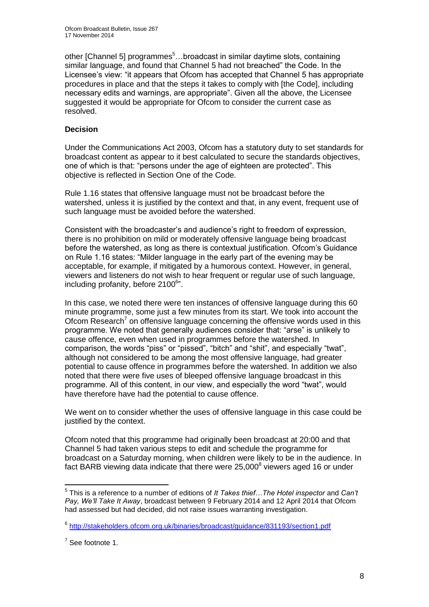other [Channel 5] programmes<sup>5</sup>...broadcast in similar daytime slots, containing similar language, and found that Channel 5 had not breached" the Code. In the Licensee's view: "it appears that Ofcom has accepted that Channel 5 has appropriate procedures in place and that the steps it takes to comply with [the Code], including necessary edits and warnings, are appropriate". Given all the above, the Licensee suggested it would be appropriate for Ofcom to consider the current case as resolved.

#### **Decision**

Under the Communications Act 2003, Ofcom has a statutory duty to set standards for broadcast content as appear to it best calculated to secure the standards objectives, one of which is that: "persons under the age of eighteen are protected". This objective is reflected in Section One of the Code.

Rule 1.16 states that offensive language must not be broadcast before the watershed, unless it is justified by the context and that, in any event, frequent use of such language must be avoided before the watershed.

Consistent with the broadcaster's and audience's right to freedom of expression, there is no prohibition on mild or moderately offensive language being broadcast before the watershed, as long as there is contextual justification. Ofcom's Guidance on Rule 1.16 states: "Milder language in the early part of the evening may be acceptable, for example, if mitigated by a humorous context. However, in general, viewers and listeners do not wish to hear frequent or regular use of such language, including profanity, before 2100<sup>6</sup>".

In this case, we noted there were ten instances of offensive language during this 60 minute programme, some just a few minutes from its start. We took into account the Ofcom Research<sup>7</sup> on offensive language concerning the offensive words used in this programme. We noted that generally audiences consider that: "arse" is unlikely to cause offence, even when used in programmes before the watershed. In comparison, the words "piss" or "pissed", "bitch" and "shit", and especially "twat", although not considered to be among the most offensive language, had greater potential to cause offence in programmes before the watershed. In addition we also noted that there were five uses of bleeped offensive language broadcast in this programme. All of this content, in our view, and especially the word "twat", would have therefore have had the potential to cause offence.

We went on to consider whether the uses of offensive language in this case could be justified by the context.

Ofcom noted that this programme had originally been broadcast at 20:00 and that Channel 5 had taken various steps to edit and schedule the programme for broadcast on a Saturday morning, when children were likely to be in the audience. In fact BARB viewing data indicate that there were  $25,000^8$  viewers aged 16 or under

1

<sup>5</sup> This is a reference to a number of editions of *It Takes thief…The Hotel inspector* and *Can't Pay, We'll Take It Away*, broadcast between 9 February 2014 and 12 April 2014 that Ofcom had assessed but had decided, did not raise issues warranting investigation.

<sup>&</sup>lt;sup>6</sup> <http://stakeholders.ofcom.org.uk/binaries/broadcast/guidance/831193/section1.pdf>

 $7$  See footnote 1.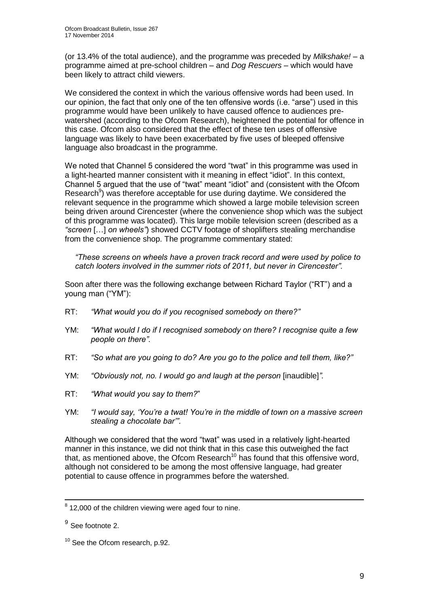(or 13.4% of the total audience), and the programme was preceded by *Milkshake!* – a programme aimed at pre-school children – and *Dog Rescuers* – which would have been likely to attract child viewers.

We considered the context in which the various offensive words had been used. In our opinion, the fact that only one of the ten offensive words (i.e. "arse") used in this programme would have been unlikely to have caused offence to audiences prewatershed (according to the Ofcom Research), heightened the potential for offence in this case. Ofcom also considered that the effect of these ten uses of offensive language was likely to have been exacerbated by five uses of bleeped offensive language also broadcast in the programme.

We noted that Channel 5 considered the word "twat" in this programme was used in a light-hearted manner consistent with it meaning in effect "idiot". In this context, Channel 5 argued that the use of "twat" meant "idiot" and (consistent with the Ofcom Research<sup>9</sup>) was therefore acceptable for use during daytime. We considered the relevant sequence in the programme which showed a large mobile television screen being driven around Cirencester (where the convenience shop which was the subject of this programme was located). This large mobile television screen (described as a *"screen* […] *on wheels"*) showed CCTV footage of shoplifters stealing merchandise from the convenience shop. The programme commentary stated:

*"These screens on wheels have a proven track record and were used by police to catch looters involved in the summer riots of 2011, but never in Cirencester".*

Soon after there was the following exchange between Richard Taylor ("RT") and a young man ("YM"):

- RT: *"What would you do if you recognised somebody on there?"*
- YM: *"What would I do if I recognised somebody on there? I recognise quite a few people on there".*
- RT: *"So what are you going to do? Are you go to the police and tell them, like?"*
- YM: *"Obviously not, no. I would go and laugh at the person* [inaudible]*".*
- RT: *"What would you say to them?*"
- YM: *"I would say, 'You're a twat! You're in the middle of town on a massive screen stealing a chocolate bar'".*

Although we considered that the word "twat" was used in a relatively light-hearted manner in this instance, we did not think that in this case this outweighed the fact that, as mentioned above, the Ofcom Research<sup>10</sup> has found that this offensive word, although not considered to be among the most offensive language, had greater potential to cause offence in programmes before the watershed.

1

 $8$  12,000 of the children viewing were aged four to nine.

<sup>&</sup>lt;sup>9</sup> See footnote 2.

<sup>&</sup>lt;sup>10</sup> See the Ofcom research, p.92.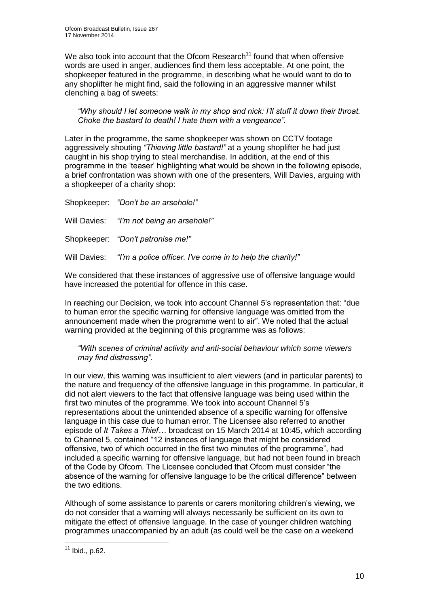We also took into account that the Ofcom Research<sup>11</sup> found that when offensive words are used in anger, audiences find them less acceptable. At one point, the shopkeeper featured in the programme, in describing what he would want to do to any shoplifter he might find, said the following in an aggressive manner whilst clenching a bag of sweets:

*"Why should I let someone walk in my shop and nick: I'll stuff it down their throat. Choke the bastard to death! I hate them with a vengeance".*

Later in the programme, the same shopkeeper was shown on CCTV footage aggressively shouting *"Thieving little bastard!"* at a young shoplifter he had just caught in his shop trying to steal merchandise. In addition, at the end of this programme in the 'teaser' highlighting what would be shown in the following episode, a brief confrontation was shown with one of the presenters, Will Davies, arguing with a shopkeeper of a charity shop:

Shopkeeper: *"Don't be an arsehole!"* Will Davies: *"I'm not being an arsehole!"* Shopkeeper: *"Don't patronise me!"* Will Davies: *"I'm a police officer. I've come in to help the charity!"*

We considered that these instances of aggressive use of offensive language would have increased the potential for offence in this case.

In reaching our Decision, we took into account Channel 5's representation that: "due to human error the specific warning for offensive language was omitted from the announcement made when the programme went to air". We noted that the actual warning provided at the beginning of this programme was as follows:

*"With scenes of criminal activity and anti-social behaviour which some viewers may find distressing"*.

In our view, this warning was insufficient to alert viewers (and in particular parents) to the nature and frequency of the offensive language in this programme. In particular, it did not alert viewers to the fact that offensive language was being used within the first two minutes of the programme. We took into account Channel 5's representations about the unintended absence of a specific warning for offensive language in this case due to human error. The Licensee also referred to another episode of *It Takes a Thief…* broadcast on 15 March 2014 at 10:45, which according to Channel 5, contained "12 instances of language that might be considered offensive, two of which occurred in the first two minutes of the programme", had included a specific warning for offensive language, but had not been found in breach of the Code by Ofcom. The Licensee concluded that Ofcom must consider "the absence of the warning for offensive language to be the critical difference" between the two editions.

Although of some assistance to parents or carers monitoring children's viewing, we do not consider that a warning will always necessarily be sufficient on its own to mitigate the effect of offensive language. In the case of younger children watching programmes unaccompanied by an adult (as could well be the case on a weekend

<sup>1</sup>  $11$  Ibid., p.62.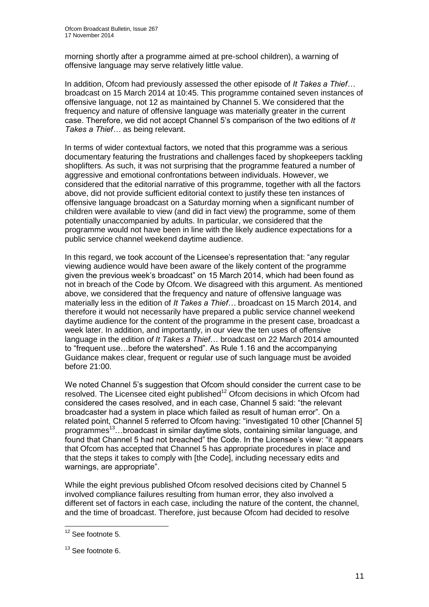morning shortly after a programme aimed at pre-school children), a warning of offensive language may serve relatively little value.

In addition, Ofcom had previously assessed the other episode of *It Takes a Thief…* broadcast on 15 March 2014 at 10:45. This programme contained seven instances of offensive language, not 12 as maintained by Channel 5. We considered that the frequency and nature of offensive language was materially greater in the current case. Therefore, we did not accept Channel 5's comparison of the two editions of *It Takes a Thief…* as being relevant.

In terms of wider contextual factors, we noted that this programme was a serious documentary featuring the frustrations and challenges faced by shopkeepers tackling shoplifters. As such, it was not surprising that the programme featured a number of aggressive and emotional confrontations between individuals. However, we considered that the editorial narrative of this programme, together with all the factors above, did not provide sufficient editorial context to justify these ten instances of offensive language broadcast on a Saturday morning when a significant number of children were available to view (and did in fact view) the programme, some of them potentially unaccompanied by adults. In particular, we considered that the programme would not have been in line with the likely audience expectations for a public service channel weekend daytime audience.

In this regard, we took account of the Licensee's representation that: "any regular viewing audience would have been aware of the likely content of the programme given the previous week's broadcast" on 15 March 2014, which had been found as not in breach of the Code by Ofcom. We disagreed with this argument. As mentioned above, we considered that the frequency and nature of offensive language was materially less in the edition of *It Takes a Thief…* broadcast on 15 March 2014, and therefore it would not necessarily have prepared a public service channel weekend daytime audience for the content of the programme in the present case, broadcast a week later. In addition, and importantly, in our view the ten uses of offensive language in the edition *of It Takes a Thief*… broadcast on 22 March 2014 amounted to "frequent use…before the watershed". As Rule 1.16 and the accompanying Guidance makes clear, frequent or regular use of such language must be avoided before 21:00.

We noted Channel 5's suggestion that Ofcom should consider the current case to be resolved. The Licensee cited eight published<sup>12</sup> Ofcom decisions in which Ofcom had considered the cases resolved, and in each case, Channel 5 said: "the relevant broadcaster had a system in place which failed as result of human error". On a related point, Channel 5 referred to Ofcom having: "investigated 10 other [Channel 5] programmes<sup>13</sup>…broadcast in similar daytime slots, containing similar language, and found that Channel 5 had not breached" the Code. In the Licensee's view: "it appears that Ofcom has accepted that Channel 5 has appropriate procedures in place and that the steps it takes to comply with [the Code], including necessary edits and warnings, are appropriate".

While the eight previous published Ofcom resolved decisions cited by Channel 5 involved compliance failures resulting from human error, they also involved a different set of factors in each case, including the nature of the content, the channel, and the time of broadcast. Therefore, just because Ofcom had decided to resolve

1

 $12$  See footnote 5.

<sup>&</sup>lt;sup>13</sup> See footnote 6.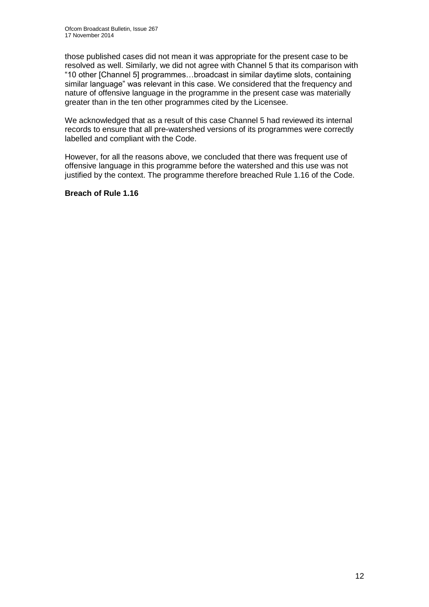those published cases did not mean it was appropriate for the present case to be resolved as well. Similarly, we did not agree with Channel 5 that its comparison with "10 other [Channel 5] programmes…broadcast in similar daytime slots, containing similar language" was relevant in this case. We considered that the frequency and nature of offensive language in the programme in the present case was materially greater than in the ten other programmes cited by the Licensee.

We acknowledged that as a result of this case Channel 5 had reviewed its internal records to ensure that all pre-watershed versions of its programmes were correctly labelled and compliant with the Code.

However, for all the reasons above, we concluded that there was frequent use of offensive language in this programme before the watershed and this use was not justified by the context. The programme therefore breached Rule 1.16 of the Code.

#### **Breach of Rule 1.16**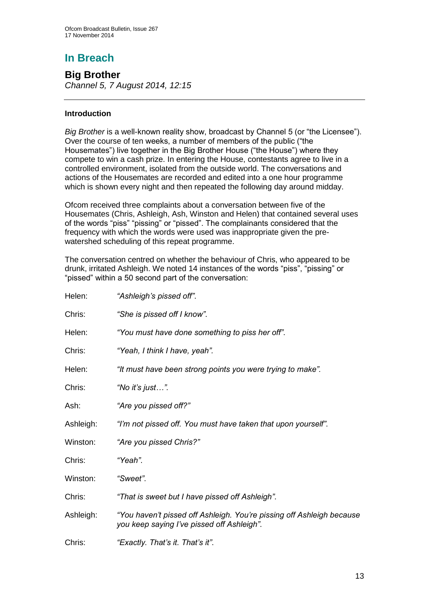# **In Breach**

**Big Brother** *Channel 5, 7 August 2014, 12:15*

#### **Introduction**

*Big Brother* is a well-known reality show, broadcast by Channel 5 (or "the Licensee"). Over the course of ten weeks, a number of members of the public ("the Housemates") live together in the Big Brother House ("the House") where they compete to win a cash prize. In entering the House, contestants agree to live in a controlled environment, isolated from the outside world. The conversations and actions of the Housemates are recorded and edited into a one hour programme which is shown every night and then repeated the following day around midday.

Ofcom received three complaints about a conversation between five of the Housemates (Chris, Ashleigh, Ash, Winston and Helen) that contained several uses of the words "piss" "pissing" or "pissed". The complainants considered that the frequency with which the words were used was inappropriate given the prewatershed scheduling of this repeat programme.

The conversation centred on whether the behaviour of Chris, who appeared to be drunk, irritated Ashleigh. We noted 14 instances of the words "piss", "pissing" or "pissed" within a 50 second part of the conversation:

| Helen:    | "Ashleigh's pissed off".                                                                                            |
|-----------|---------------------------------------------------------------------------------------------------------------------|
| Chris:    | "She is pissed off I know".                                                                                         |
| Helen:    | "You must have done something to piss her off".                                                                     |
| Chris:    | "Yeah, I think I have, yeah".                                                                                       |
| Helen:    | "It must have been strong points you were trying to make".                                                          |
| Chris:    | "No it's just".                                                                                                     |
| Ash:      | "Are you pissed off?"                                                                                               |
| Ashleigh: | "I'm not pissed off. You must have taken that upon yourself".                                                       |
| Winston:  | "Are you pissed Chris?"                                                                                             |
| Chris:    | "Yeah".                                                                                                             |
| Winston:  | "Sweet".                                                                                                            |
| Chris:    | "That is sweet but I have pissed off Ashleigh".                                                                     |
| Ashleigh: | "You haven't pissed off Ashleigh. You're pissing off Ashleigh because<br>you keep saying I've pissed off Ashleigh". |
| Chris:    | "Exactly. That's it. That's it".                                                                                    |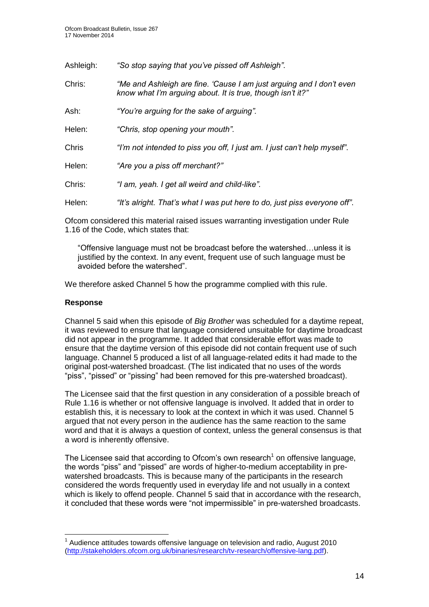| Ashleigh: | "So stop saying that you've pissed off Ashleigh".                                                                                  |
|-----------|------------------------------------------------------------------------------------------------------------------------------------|
| Chris:    | "Me and Ashleigh are fine. 'Cause I am just arguing and I don't even<br>know what I'm arguing about. It is true, though isn't it?" |
| Ash:      | "You're arguing for the sake of arguing".                                                                                          |
| Helen:    | "Chris, stop opening your mouth".                                                                                                  |
| Chris     | "I'm not intended to piss you off, I just am. I just can't help myself".                                                           |
| Helen:    | "Are you a piss off merchant?"                                                                                                     |
| Chris:    | "I am, yeah. I get all weird and child-like".                                                                                      |
| Helen:    | "It's alright. That's what I was put here to do, just piss everyone off".                                                          |

Ofcom considered this material raised issues warranting investigation under Rule 1.16 of the Code, which states that:

"Offensive language must not be broadcast before the watershed…unless it is justified by the context. In any event, frequent use of such language must be avoided before the watershed".

We therefore asked Channel 5 how the programme complied with this rule.

#### **Response**

1

Channel 5 said when this episode of *Big Brother* was scheduled for a daytime repeat, it was reviewed to ensure that language considered unsuitable for daytime broadcast did not appear in the programme. It added that considerable effort was made to ensure that the daytime version of this episode did not contain frequent use of such language. Channel 5 produced a list of all language-related edits it had made to the original post-watershed broadcast. (The list indicated that no uses of the words "piss", "pissed" or "pissing" had been removed for this pre-watershed broadcast).

The Licensee said that the first question in any consideration of a possible breach of Rule 1.16 is whether or not offensive language is involved. It added that in order to establish this, it is necessary to look at the context in which it was used. Channel 5 argued that not every person in the audience has the same reaction to the same word and that it is always a question of context, unless the general consensus is that a word is inherently offensive.

The Licensee said that according to Ofcom's own research<sup>1</sup> on offensive language, the words "piss" and "pissed" are words of higher-to-medium acceptability in prewatershed broadcasts. This is because many of the participants in the research considered the words frequently used in everyday life and not usually in a context which is likely to offend people. Channel 5 said that in accordance with the research, it concluded that these words were "not impermissible" in pre-watershed broadcasts.

 $1$  Audience attitudes towards offensive language on television and radio, August 2010 [\(http://stakeholders.ofcom.org.uk/binaries/research/tv-research/offensive-lang.pdf\)](http://stakeholders.ofcom.org.uk/binaries/research/tv-research/offensive-lang.pdf).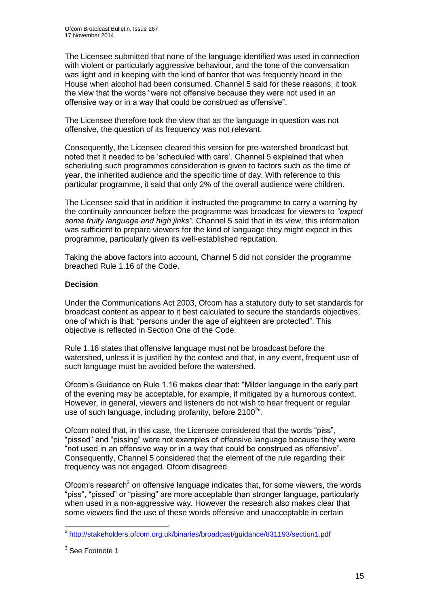The Licensee submitted that none of the language identified was used in connection with violent or particularly aggressive behaviour, and the tone of the conversation was light and in keeping with the kind of banter that was frequently heard in the House when alcohol had been consumed. Channel 5 said for these reasons, it took the view that the words "were not offensive because they were not used in an offensive way or in a way that could be construed as offensive".

The Licensee therefore took the view that as the language in question was not offensive, the question of its frequency was not relevant.

Consequently, the Licensee cleared this version for pre-watershed broadcast but noted that it needed to be 'scheduled with care'. Channel 5 explained that when scheduling such programmes consideration is given to factors such as the time of year, the inherited audience and the specific time of day. With reference to this particular programme, it said that only 2% of the overall audience were children.

The Licensee said that in addition it instructed the programme to carry a warning by the continuity announcer before the programme was broadcast for viewers to *"expect some fruity language and high jinks"*. Channel 5 said that in its view, this information was sufficient to prepare viewers for the kind of language they might expect in this programme, particularly given its well-established reputation.

Taking the above factors into account, Channel 5 did not consider the programme breached Rule 1.16 of the Code.

#### **Decision**

Under the Communications Act 2003, Ofcom has a statutory duty to set standards for broadcast content as appear to it best calculated to secure the standards objectives, one of which is that: "persons under the age of eighteen are protected". This objective is reflected in Section One of the Code.

Rule 1.16 states that offensive language must not be broadcast before the watershed, unless it is justified by the context and that, in any event, frequent use of such language must be avoided before the watershed.

Ofcom's Guidance on Rule 1.16 makes clear that: "Milder language in the early part of the evening may be acceptable, for example, if mitigated by a humorous context. However, in general, viewers and listeners do not wish to hear frequent or regular use of such language, including profanity, before  $2100^{2}$ ".

Ofcom noted that, in this case, the Licensee considered that the words "piss", "pissed" and "pissing" were not examples of offensive language because they were "not used in an offensive way or in a way that could be construed as offensive". Consequently, Channel 5 considered that the element of the rule regarding their frequency was not engaged. Ofcom disagreed.

Ofcom's research<sup>3</sup> on offensive language indicates that, for some viewers, the words "piss", "pissed" or "pissing" are more acceptable than stronger language, particularly when used in a non-aggressive way. However the research also makes clear that some viewers find the use of these words offensive and unacceptable in certain

1

<sup>&</sup>lt;sup>2</sup> <http://stakeholders.ofcom.org.uk/binaries/broadcast/guidance/831193/section1.pdf>

<sup>&</sup>lt;sup>3</sup> See Footnote 1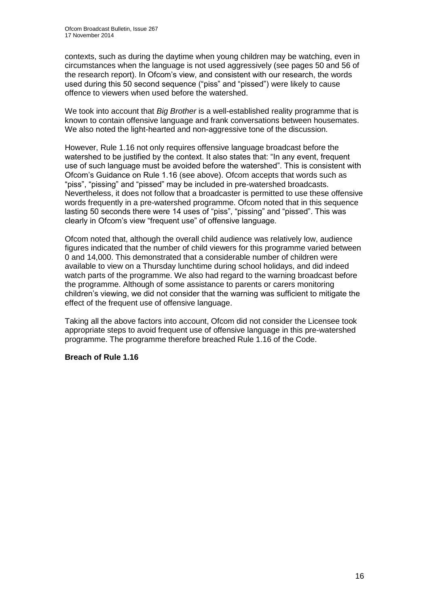contexts, such as during the daytime when young children may be watching, even in circumstances when the language is not used aggressively (see pages 50 and 56 of the research report). In Ofcom's view, and consistent with our research, the words used during this 50 second sequence ("piss" and "pissed") were likely to cause offence to viewers when used before the watershed.

We took into account that *Big Brother* is a well-established reality programme that is known to contain offensive language and frank conversations between housemates. We also noted the light-hearted and non-aggressive tone of the discussion.

However, Rule 1.16 not only requires offensive language broadcast before the watershed to be justified by the context. It also states that: "In any event, frequent use of such language must be avoided before the watershed". This is consistent with Ofcom's Guidance on Rule 1.16 (see above). Ofcom accepts that words such as "piss", "pissing" and "pissed" may be included in pre-watershed broadcasts. Nevertheless, it does not follow that a broadcaster is permitted to use these offensive words frequently in a pre-watershed programme. Ofcom noted that in this sequence lasting 50 seconds there were 14 uses of "piss", "pissing" and "pissed". This was clearly in Ofcom's view "frequent use" of offensive language.

Ofcom noted that, although the overall child audience was relatively low, audience figures indicated that the number of child viewers for this programme varied between 0 and 14,000. This demonstrated that a considerable number of children were available to view on a Thursday lunchtime during school holidays, and did indeed watch parts of the programme. We also had regard to the warning broadcast before the programme. Although of some assistance to parents or carers monitoring children's viewing, we did not consider that the warning was sufficient to mitigate the effect of the frequent use of offensive language.

Taking all the above factors into account, Ofcom did not consider the Licensee took appropriate steps to avoid frequent use of offensive language in this pre-watershed programme. The programme therefore breached Rule 1.16 of the Code.

#### **Breach of Rule 1.16**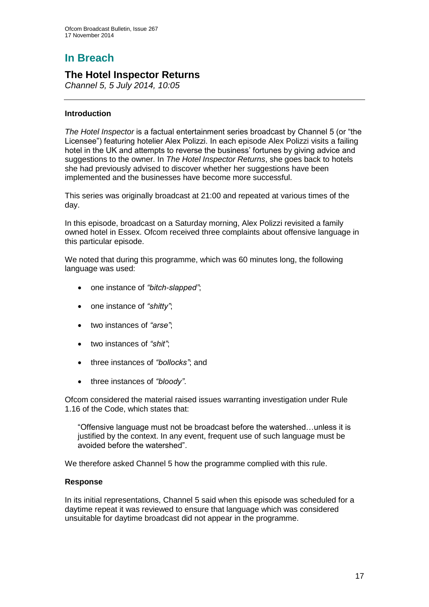# **In Breach**

## **The Hotel Inspector Returns**

*Channel 5, 5 July 2014, 10:05*

#### **Introduction**

*The Hotel Inspector* is a factual entertainment series broadcast by Channel 5 (or "the Licensee") featuring hotelier Alex Polizzi. In each episode Alex Polizzi visits a failing hotel in the UK and attempts to reverse the business' fortunes by giving advice and suggestions to the owner. In *The Hotel Inspector Returns*, she goes back to hotels she had previously advised to discover whether her suggestions have been implemented and the businesses have become more successful.

This series was originally broadcast at 21:00 and repeated at various times of the day.

In this episode, broadcast on a Saturday morning, Alex Polizzi revisited a family owned hotel in Essex. Ofcom received three complaints about offensive language in this particular episode.

We noted that during this programme, which was 60 minutes long, the following language was used:

- one instance of *"bitch-slapped"*;
- one instance of *"shitty"*;
- two instances of *"arse"*;
- two instances of *"shit"*;
- three instances of *"bollocks"*; and
- three instances of *"bloody"*.

Ofcom considered the material raised issues warranting investigation under Rule 1.16 of the Code, which states that:

"Offensive language must not be broadcast before the watershed…unless it is justified by the context. In any event, frequent use of such language must be avoided before the watershed".

We therefore asked Channel 5 how the programme complied with this rule.

#### **Response**

In its initial representations, Channel 5 said when this episode was scheduled for a daytime repeat it was reviewed to ensure that language which was considered unsuitable for daytime broadcast did not appear in the programme.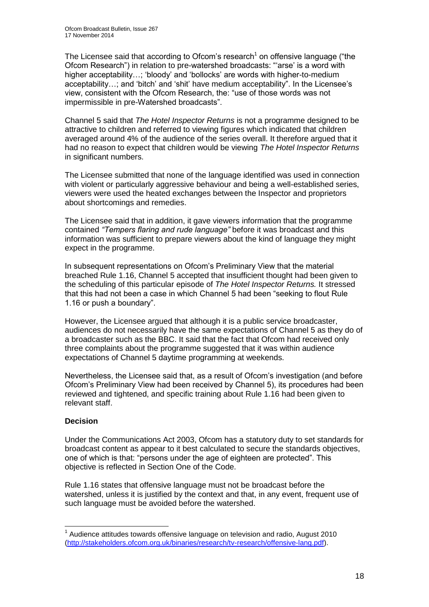The Licensee said that according to Ofcom's research<sup>1</sup> on offensive language ("the Ofcom Research") in relation to pre-watershed broadcasts: "'arse' is a word with higher acceptability…; 'bloody' and 'bollocks' are words with higher-to-medium acceptability…; and 'bitch' and 'shit' have medium acceptability". In the Licensee's view, consistent with the Ofcom Research, the: "use of those words was not impermissible in pre-Watershed broadcasts".

Channel 5 said that *The Hotel Inspector Returns* is not a programme designed to be attractive to children and referred to viewing figures which indicated that children averaged around 4% of the audience of the series overall. It therefore argued that it had no reason to expect that children would be viewing *The Hotel Inspector Returns* in significant numbers.

The Licensee submitted that none of the language identified was used in connection with violent or particularly aggressive behaviour and being a well-established series, viewers were used the heated exchanges between the Inspector and proprietors about shortcomings and remedies.

The Licensee said that in addition, it gave viewers information that the programme contained *"Tempers flaring and rude language"* before it was broadcast and this information was sufficient to prepare viewers about the kind of language they might expect in the programme.

In subsequent representations on Ofcom's Preliminary View that the material breached Rule 1.16, Channel 5 accepted that insufficient thought had been given to the scheduling of this particular episode of *The Hotel Inspector Returns.* It stressed that this had not been a case in which Channel 5 had been "seeking to flout Rule 1.16 or push a boundary".

However, the Licensee argued that although it is a public service broadcaster, audiences do not necessarily have the same expectations of Channel 5 as they do of a broadcaster such as the BBC. It said that the fact that Ofcom had received only three complaints about the programme suggested that it was within audience expectations of Channel 5 daytime programming at weekends.

Nevertheless, the Licensee said that, as a result of Ofcom's investigation (and before Ofcom's Preliminary View had been received by Channel 5), its procedures had been reviewed and tightened, and specific training about Rule 1.16 had been given to relevant staff.

#### **Decision**

1

Under the Communications Act 2003, Ofcom has a statutory duty to set standards for broadcast content as appear to it best calculated to secure the standards objectives, one of which is that: "persons under the age of eighteen are protected". This objective is reflected in Section One of the Code.

Rule 1.16 states that offensive language must not be broadcast before the watershed, unless it is justified by the context and that, in any event, frequent use of such language must be avoided before the watershed.

 $1$  Audience attitudes towards offensive language on television and radio, August 2010 [\(http://stakeholders.ofcom.org.uk/binaries/research/tv-research/offensive-lang.pdf\)](http://stakeholders.ofcom.org.uk/binaries/research/tv-research/offensive-lang.pdf).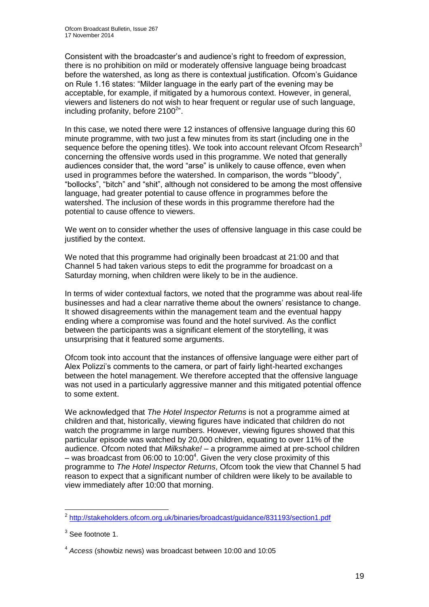Consistent with the broadcaster's and audience's right to freedom of expression, there is no prohibition on mild or moderately offensive language being broadcast before the watershed, as long as there is contextual justification. Ofcom's Guidance on Rule 1.16 states: "Milder language in the early part of the evening may be acceptable, for example, if mitigated by a humorous context. However, in general, viewers and listeners do not wish to hear frequent or regular use of such language, including profanity, before  $2100^{2}$ ".

In this case, we noted there were 12 instances of offensive language during this 60 minute programme, with two just a few minutes from its start (including one in the sequence before the opening titles). We took into account relevant Ofcom Research<sup>3</sup> concerning the offensive words used in this programme. We noted that generally audiences consider that, the word "arse" is unlikely to cause offence, even when used in programmes before the watershed. In comparison, the words "'bloody", "bollocks", "bitch" and "shit", although not considered to be among the most offensive language, had greater potential to cause offence in programmes before the watershed. The inclusion of these words in this programme therefore had the potential to cause offence to viewers.

We went on to consider whether the uses of offensive language in this case could be justified by the context.

We noted that this programme had originally been broadcast at 21:00 and that Channel 5 had taken various steps to edit the programme for broadcast on a Saturday morning, when children were likely to be in the audience.

In terms of wider contextual factors, we noted that the programme was about real-life businesses and had a clear narrative theme about the owners' resistance to change. It showed disagreements within the management team and the eventual happy ending where a compromise was found and the hotel survived. As the conflict between the participants was a significant element of the storytelling, it was unsurprising that it featured some arguments.

Ofcom took into account that the instances of offensive language were either part of Alex Polizzi's comments to the camera, or part of fairly light-hearted exchanges between the hotel management. We therefore accepted that the offensive language was not used in a particularly aggressive manner and this mitigated potential offence to some extent.

We acknowledged that *The Hotel Inspector Returns* is not a programme aimed at children and that, historically, viewing figures have indicated that children do not watch the programme in large numbers. However, viewing figures showed that this particular episode was watched by 20,000 children, equating to over 11% of the audience. Ofcom noted that *Milkshake!* – a programme aimed at pre-school children  $-$  was broadcast from 06:00 to 10:00<sup>4</sup>. Given the very close proximity of this programme to *The Hotel Inspector Returns*, Ofcom took the view that Channel 5 had reason to expect that a significant number of children were likely to be available to view immediately after 10:00 that morning.

 2 <http://stakeholders.ofcom.org.uk/binaries/broadcast/guidance/831193/section1.pdf>

 $3$  See footnote 1.

<sup>4</sup> *Access* (showbiz news) was broadcast between 10:00 and 10:05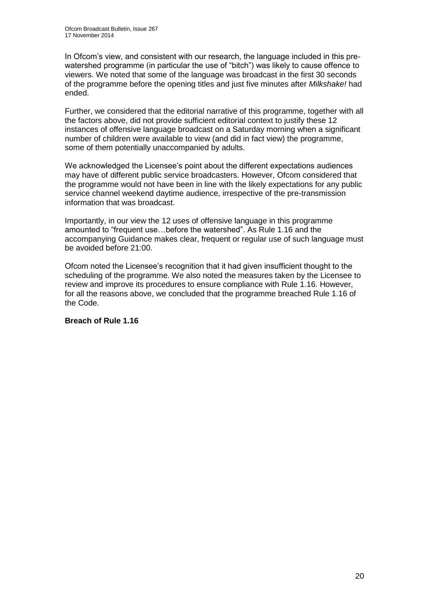In Ofcom's view, and consistent with our research, the language included in this prewatershed programme (in particular the use of "bitch") was likely to cause offence to viewers. We noted that some of the language was broadcast in the first 30 seconds of the programme before the opening titles and just five minutes after *Milkshake!* had ended.

Further, we considered that the editorial narrative of this programme, together with all the factors above, did not provide sufficient editorial context to justify these 12 instances of offensive language broadcast on a Saturday morning when a significant number of children were available to view (and did in fact view) the programme, some of them potentially unaccompanied by adults.

We acknowledged the Licensee's point about the different expectations audiences may have of different public service broadcasters. However, Ofcom considered that the programme would not have been in line with the likely expectations for any public service channel weekend daytime audience, irrespective of the pre-transmission information that was broadcast.

Importantly, in our view the 12 uses of offensive language in this programme amounted to "frequent use…before the watershed". As Rule 1.16 and the accompanying Guidance makes clear, frequent or regular use of such language must be avoided before 21:00.

Ofcom noted the Licensee's recognition that it had given insufficient thought to the scheduling of the programme. We also noted the measures taken by the Licensee to review and improve its procedures to ensure compliance with Rule 1.16. However, for all the reasons above, we concluded that the programme breached Rule 1.16 of the Code.

#### **Breach of Rule 1.16**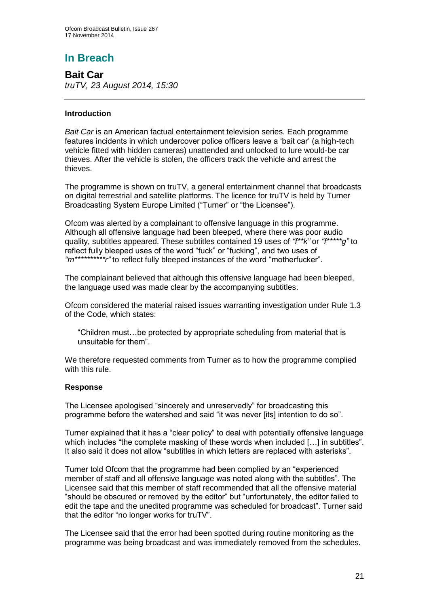# **In Breach**

**Bait Car** *truTV, 23 August 2014, 15:30*

#### **Introduction**

*Bait Car* is an American factual entertainment television series. Each programme features incidents in which undercover police officers leave a 'bait car' (a high-tech vehicle fitted with hidden cameras) unattended and unlocked to lure would-be car thieves. After the vehicle is stolen, the officers track the vehicle and arrest the thieves.

The programme is shown on truTV, a general entertainment channel that broadcasts on digital terrestrial and satellite platforms. The licence for truTV is held by Turner Broadcasting System Europe Limited ("Turner" or "the Licensee").

Ofcom was alerted by a complainant to offensive language in this programme. Although all offensive language had been bleeped, where there was poor audio quality, subtitles appeared. These subtitles contained 19 uses of *"f\*\*k"* or *"f\*\*\*\*\*g"* to reflect fully bleeped uses of the word "fuck" or "fucking", and two uses of *"m\*\*\*\*\*\*\*\*\*\*r"* to reflect fully bleeped instances of the word "motherfucker".

The complainant believed that although this offensive language had been bleeped, the language used was made clear by the accompanying subtitles.

Ofcom considered the material raised issues warranting investigation under Rule 1.3 of the Code, which states:

"Children must…be protected by appropriate scheduling from material that is unsuitable for them".

We therefore requested comments from Turner as to how the programme complied with this rule.

#### **Response**

The Licensee apologised "sincerely and unreservedly" for broadcasting this programme before the watershed and said "it was never [its] intention to do so".

Turner explained that it has a "clear policy" to deal with potentially offensive language which includes "the complete masking of these words when included [...] in subtitles". It also said it does not allow "subtitles in which letters are replaced with asterisks".

Turner told Ofcom that the programme had been complied by an "experienced member of staff and all offensive language was noted along with the subtitles". The Licensee said that this member of staff recommended that all the offensive material "should be obscured or removed by the editor" but "unfortunately, the editor failed to edit the tape and the unedited programme was scheduled for broadcast". Turner said that the editor "no longer works for truTV".

The Licensee said that the error had been spotted during routine monitoring as the programme was being broadcast and was immediately removed from the schedules.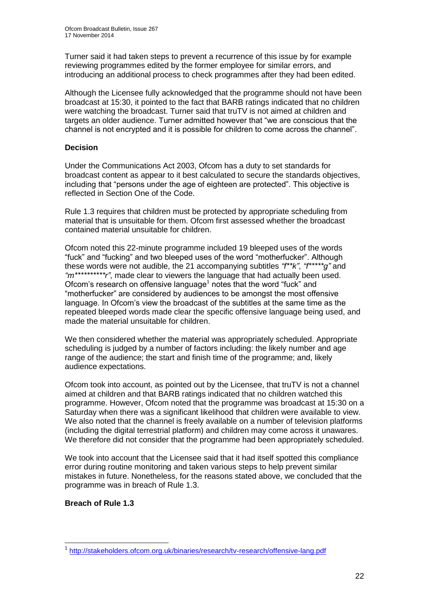Turner said it had taken steps to prevent a recurrence of this issue by for example reviewing programmes edited by the former employee for similar errors, and introducing an additional process to check programmes after they had been edited.

Although the Licensee fully acknowledged that the programme should not have been broadcast at 15:30, it pointed to the fact that BARB ratings indicated that no children were watching the broadcast. Turner said that truTV is not aimed at children and targets an older audience. Turner admitted however that "we are conscious that the channel is not encrypted and it is possible for children to come across the channel".

#### **Decision**

Under the Communications Act 2003, Ofcom has a duty to set standards for broadcast content as appear to it best calculated to secure the standards objectives, including that "persons under the age of eighteen are protected". This objective is reflected in Section One of the Code.

Rule 1.3 requires that children must be protected by appropriate scheduling from material that is unsuitable for them. Ofcom first assessed whether the broadcast contained material unsuitable for children.

Ofcom noted this 22-minute programme included 19 bleeped uses of the words "fuck" and "fucking" and two bleeped uses of the word "motherfucker". Although these words were not audible, the 21 accompanying subtitles *"f\*\*k"*, *"f\*\*\*\*\*g"* and *"m\*\*\*\*\*\*\*\*\*\*r"*, made clear to viewers the language that had actually been used. Ofcom's research on offensive language<sup>1</sup> notes that the word "fuck" and "motherfucker" are considered by audiences to be amongst the most offensive language. In Ofcom's view the broadcast of the subtitles at the same time as the repeated bleeped words made clear the specific offensive language being used, and made the material unsuitable for children.

We then considered whether the material was appropriately scheduled. Appropriate scheduling is judged by a number of factors including: the likely number and age range of the audience; the start and finish time of the programme; and, likely audience expectations.

Ofcom took into account, as pointed out by the Licensee, that truTV is not a channel aimed at children and that BARB ratings indicated that no children watched this programme. However, Ofcom noted that the programme was broadcast at 15:30 on a Saturday when there was a significant likelihood that children were available to view. We also noted that the channel is freely available on a number of television platforms (including the digital terrestrial platform) and children may come across it unawares. We therefore did not consider that the programme had been appropriately scheduled.

We took into account that the Licensee said that it had itself spotted this compliance error during routine monitoring and taken various steps to help prevent similar mistakes in future. Nonetheless, for the reasons stated above, we concluded that the programme was in breach of Rule 1.3.

#### **Breach of Rule 1.3**

<sup>1</sup> 1 <http://stakeholders.ofcom.org.uk/binaries/research/tv-research/offensive-lang.pdf>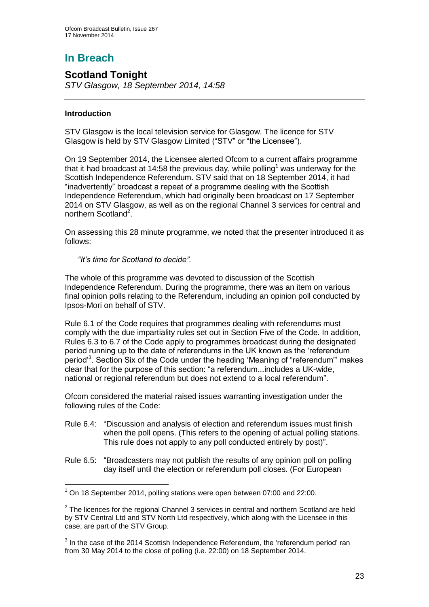# **In Breach**

## **Scotland Tonight**

*STV Glasgow, 18 September 2014, 14:58*

#### **Introduction**

1

STV Glasgow is the local television service for Glasgow. The licence for STV Glasgow is held by STV Glasgow Limited ("STV" or "the Licensee").

On 19 September 2014, the Licensee alerted Ofcom to a current affairs programme that it had broadcast at 14:58 the previous day, while polling<sup>1</sup> was underway for the Scottish Independence Referendum. STV said that on 18 September 2014, it had "inadvertently" broadcast a repeat of a programme dealing with the Scottish Independence Referendum, which had originally been broadcast on 17 September 2014 on STV Glasgow, as well as on the regional Channel 3 services for central and northern Scotland<sup>2</sup>.

On assessing this 28 minute programme, we noted that the presenter introduced it as follows:

*"It's time for Scotland to decide".*

The whole of this programme was devoted to discussion of the Scottish Independence Referendum. During the programme, there was an item on various final opinion polls relating to the Referendum, including an opinion poll conducted by Ipsos-Mori on behalf of STV.

Rule 6.1 of the Code requires that programmes dealing with referendums must comply with the due impartiality rules set out in Section Five of the Code. In addition, Rules 6.3 to 6.7 of the Code apply to programmes broadcast during the designated period running up to the date of referendums in the UK known as the 'referendum period<sup>3</sup>. Section Six of the Code under the heading 'Meaning of "referendum"' makes clear that for the purpose of this section: "a referendum...includes a UK-wide, national or regional referendum but does not extend to a local referendum".

Ofcom considered the material raised issues warranting investigation under the following rules of the Code:

- Rule 6.4: "Discussion and analysis of election and referendum issues must finish when the poll opens. (This refers to the opening of actual polling stations. This rule does not apply to any poll conducted entirely by post)".
- Rule 6.5: "Broadcasters may not publish the results of any opinion poll on polling day itself until the election or referendum poll closes. (For European

 $1$  On 18 September 2014, polling stations were open between 07:00 and 22:00.

 $2$  The licences for the regional Channel 3 services in central and northern Scotland are held by STV Central Ltd and STV North Ltd respectively, which along with the Licensee in this case, are part of the STV Group.

 $3$  In the case of the 2014 Scottish Independence Referendum, the 'referendum period' ran from 30 May 2014 to the close of polling (i.e. 22:00) on 18 September 2014.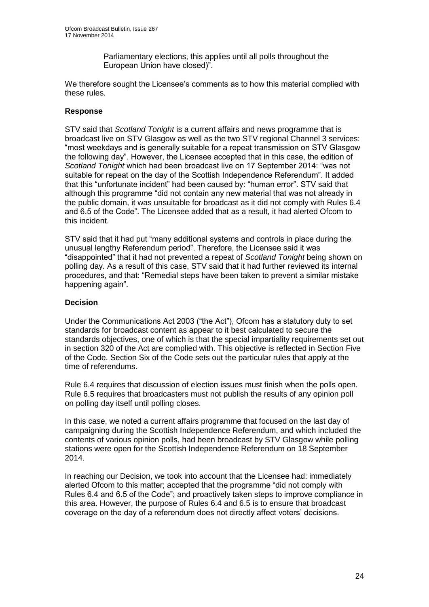Parliamentary elections, this applies until all polls throughout the European Union have closed)".

We therefore sought the Licensee's comments as to how this material complied with these rules.

#### **Response**

STV said that *Scotland Tonight* is a current affairs and news programme that is broadcast live on STV Glasgow as well as the two STV regional Channel 3 services: "most weekdays and is generally suitable for a repeat transmission on STV Glasgow the following day". However, the Licensee accepted that in this case, the edition of *Scotland Tonight* which had been broadcast live on 17 September 2014: "was not suitable for repeat on the day of the Scottish Independence Referendum". It added that this "unfortunate incident" had been caused by: "human error". STV said that although this programme "did not contain any new material that was not already in the public domain, it was unsuitable for broadcast as it did not comply with Rules 6.4 and 6.5 of the Code". The Licensee added that as a result, it had alerted Ofcom to this incident.

STV said that it had put "many additional systems and controls in place during the unusual lengthy Referendum period". Therefore, the Licensee said it was "disappointed" that it had not prevented a repeat of *Scotland Tonight* being shown on polling day. As a result of this case, STV said that it had further reviewed its internal procedures, and that: "Remedial steps have been taken to prevent a similar mistake happening again".

#### **Decision**

Under the Communications Act 2003 ("the Act"), Ofcom has a statutory duty to set standards for broadcast content as appear to it best calculated to secure the standards objectives, one of which is that the special impartiality requirements set out in section 320 of the Act are complied with. This objective is reflected in Section Five of the Code. Section Six of the Code sets out the particular rules that apply at the time of referendums.

Rule 6.4 requires that discussion of election issues must finish when the polls open. Rule 6.5 requires that broadcasters must not publish the results of any opinion poll on polling day itself until polling closes.

In this case, we noted a current affairs programme that focused on the last day of campaigning during the Scottish Independence Referendum, and which included the contents of various opinion polls, had been broadcast by STV Glasgow while polling stations were open for the Scottish Independence Referendum on 18 September 2014.

In reaching our Decision, we took into account that the Licensee had: immediately alerted Ofcom to this matter; accepted that the programme "did not comply with Rules 6.4 and 6.5 of the Code"; and proactively taken steps to improve compliance in this area. However, the purpose of Rules 6.4 and 6.5 is to ensure that broadcast coverage on the day of a referendum does not directly affect voters' decisions.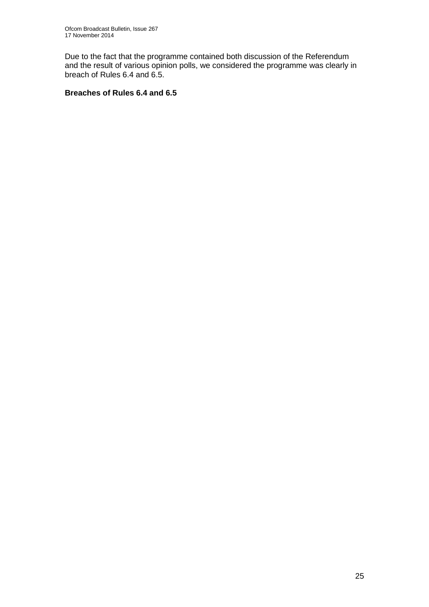Due to the fact that the programme contained both discussion of the Referendum and the result of various opinion polls, we considered the programme was clearly in breach of Rules 6.4 and 6.5.

#### **Breaches of Rules 6.4 and 6.5**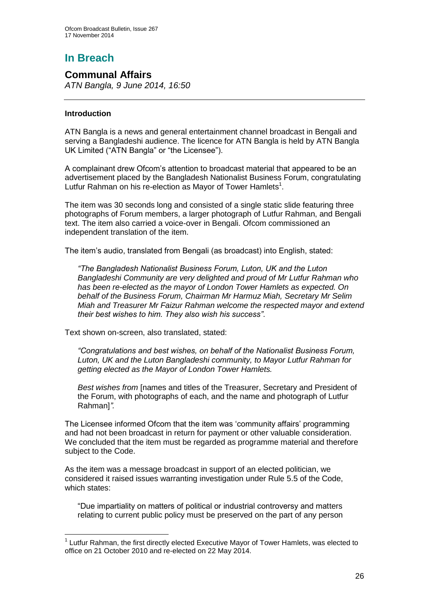# **In Breach**

## **Communal Affairs**

*ATN Bangla, 9 June 2014, 16:50*

#### **Introduction**

1

ATN Bangla is a news and general entertainment channel broadcast in Bengali and serving a Bangladeshi audience. The licence for ATN Bangla is held by ATN Bangla UK Limited ("ATN Bangla" or "the Licensee").

A complainant drew Ofcom's attention to broadcast material that appeared to be an advertisement placed by the Bangladesh Nationalist Business Forum, congratulating Lutfur Rahman on his re-election as Mayor of Tower Hamlets<sup>1</sup>.

The item was 30 seconds long and consisted of a single static slide featuring three photographs of Forum members, a larger photograph of Lutfur Rahman, and Bengali text. The item also carried a voice-over in Bengali. Ofcom commissioned an independent translation of the item.

The item's audio, translated from Bengali (as broadcast) into English, stated:

*"The Bangladesh Nationalist Business Forum, Luton, UK and the Luton Bangladeshi Community are very delighted and proud of Mr Lutfur Rahman who has been re-elected as the mayor of London Tower Hamlets as expected. On behalf of the Business Forum, Chairman Mr Harmuz Miah, Secretary Mr Selim Miah and Treasurer Mr Faizur Rahman welcome the respected mayor and extend their best wishes to him. They also wish his success"*.

Text shown on-screen, also translated, stated:

*"Congratulations and best wishes, on behalf of the Nationalist Business Forum, Luton, UK and the Luton Bangladeshi community, to Mayor Lutfur Rahman for getting elected as the Mayor of London Tower Hamlets.* 

*Best wishes from* [names and titles of the Treasurer, Secretary and President of the Forum, with photographs of each, and the name and photograph of Lutfur Rahman]*".*

The Licensee informed Ofcom that the item was 'community affairs' programming and had not been broadcast in return for payment or other valuable consideration. We concluded that the item must be regarded as programme material and therefore subject to the Code.

As the item was a message broadcast in support of an elected politician, we considered it raised issues warranting investigation under Rule 5.5 of the Code, which states:

"Due impartiality on matters of political or industrial controversy and matters relating to current public policy must be preserved on the part of any person

<sup>&</sup>lt;sup>1</sup> Lutfur Rahman, the first directly elected Executive Mayor of Tower Hamlets, was elected to office on 21 October 2010 and re-elected on 22 May 2014.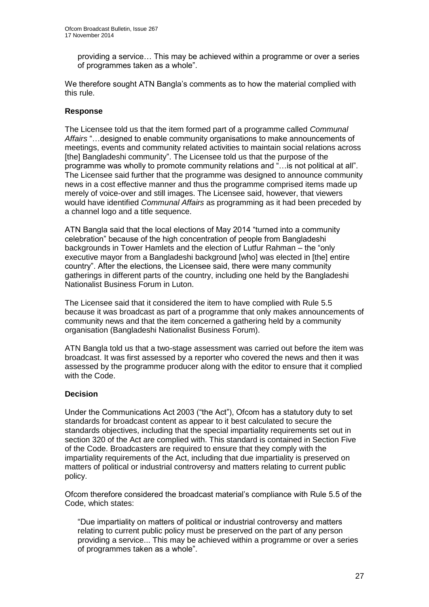providing a service… This may be achieved within a programme or over a series of programmes taken as a whole".

We therefore sought ATN Bangla's comments as to how the material complied with this rule.

#### **Response**

The Licensee told us that the item formed part of a programme called *Communal Affairs* "…designed to enable community organisations to make announcements of meetings, events and community related activities to maintain social relations across [the] Bangladeshi community". The Licensee told us that the purpose of the programme was wholly to promote community relations and "…is not political at all". The Licensee said further that the programme was designed to announce community news in a cost effective manner and thus the programme comprised items made up merely of voice-over and still images. The Licensee said, however, that viewers would have identified *Communal Affairs* as programming as it had been preceded by a channel logo and a title sequence.

ATN Bangla said that the local elections of May 2014 "turned into a community celebration" because of the high concentration of people from Bangladeshi backgrounds in Tower Hamlets and the election of Lutfur Rahman – the "only executive mayor from a Bangladeshi background [who] was elected in [the] entire country". After the elections, the Licensee said, there were many community gatherings in different parts of the country, including one held by the Bangladeshi Nationalist Business Forum in Luton.

The Licensee said that it considered the item to have complied with Rule 5.5 because it was broadcast as part of a programme that only makes announcements of community news and that the item concerned a gathering held by a community organisation (Bangladeshi Nationalist Business Forum).

ATN Bangla told us that a two-stage assessment was carried out before the item was broadcast. It was first assessed by a reporter who covered the news and then it was assessed by the programme producer along with the editor to ensure that it complied with the Code.

#### **Decision**

Under the Communications Act 2003 ("the Act"), Ofcom has a statutory duty to set standards for broadcast content as appear to it best calculated to secure the standards objectives, including that the special impartiality requirements set out in section 320 of the Act are complied with. This standard is contained in Section Five of the Code. Broadcasters are required to ensure that they comply with the impartiality requirements of the Act, including that due impartiality is preserved on matters of political or industrial controversy and matters relating to current public policy.

Ofcom therefore considered the broadcast material's compliance with Rule 5.5 of the Code, which states:

"Due impartiality on matters of political or industrial controversy and matters relating to current public policy must be preserved on the part of any person providing a service... This may be achieved within a programme or over a series of programmes taken as a whole".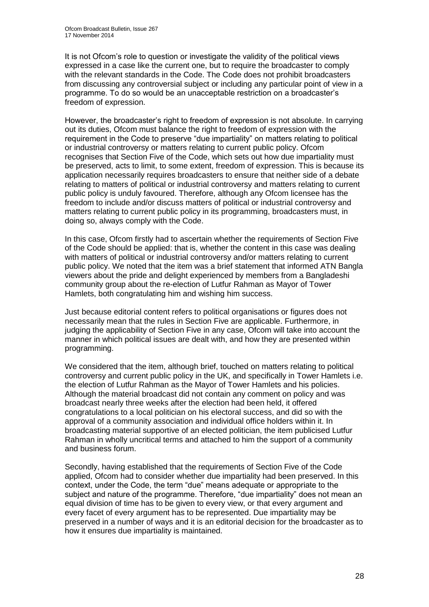It is not Ofcom's role to question or investigate the validity of the political views expressed in a case like the current one, but to require the broadcaster to comply with the relevant standards in the Code. The Code does not prohibit broadcasters from discussing any controversial subject or including any particular point of view in a programme. To do so would be an unacceptable restriction on a broadcaster's freedom of expression.

However, the broadcaster's right to freedom of expression is not absolute. In carrying out its duties, Ofcom must balance the right to freedom of expression with the requirement in the Code to preserve "due impartiality" on matters relating to political or industrial controversy or matters relating to current public policy. Ofcom recognises that Section Five of the Code, which sets out how due impartiality must be preserved, acts to limit, to some extent, freedom of expression. This is because its application necessarily requires broadcasters to ensure that neither side of a debate relating to matters of political or industrial controversy and matters relating to current public policy is unduly favoured. Therefore, although any Ofcom licensee has the freedom to include and/or discuss matters of political or industrial controversy and matters relating to current public policy in its programming, broadcasters must, in doing so, always comply with the Code.

In this case, Ofcom firstly had to ascertain whether the requirements of Section Five of the Code should be applied: that is, whether the content in this case was dealing with matters of political or industrial controversy and/or matters relating to current public policy. We noted that the item was a brief statement that informed ATN Bangla viewers about the pride and delight experienced by members from a Bangladeshi community group about the re-election of Lutfur Rahman as Mayor of Tower Hamlets, both congratulating him and wishing him success.

Just because editorial content refers to political organisations or figures does not necessarily mean that the rules in Section Five are applicable. Furthermore, in judging the applicability of Section Five in any case, Ofcom will take into account the manner in which political issues are dealt with, and how they are presented within programming.

We considered that the item, although brief, touched on matters relating to political controversy and current public policy in the UK, and specifically in Tower Hamlets i.e. the election of Lutfur Rahman as the Mayor of Tower Hamlets and his policies. Although the material broadcast did not contain any comment on policy and was broadcast nearly three weeks after the election had been held, it offered congratulations to a local politician on his electoral success, and did so with the approval of a community association and individual office holders within it. In broadcasting material supportive of an elected politician, the item publicised Lutfur Rahman in wholly uncritical terms and attached to him the support of a community and business forum.

Secondly, having established that the requirements of Section Five of the Code applied, Ofcom had to consider whether due impartiality had been preserved. In this context, under the Code, the term "due" means adequate or appropriate to the subject and nature of the programme. Therefore, "due impartiality" does not mean an equal division of time has to be given to every view, or that every argument and every facet of every argument has to be represented. Due impartiality may be preserved in a number of ways and it is an editorial decision for the broadcaster as to how it ensures due impartiality is maintained.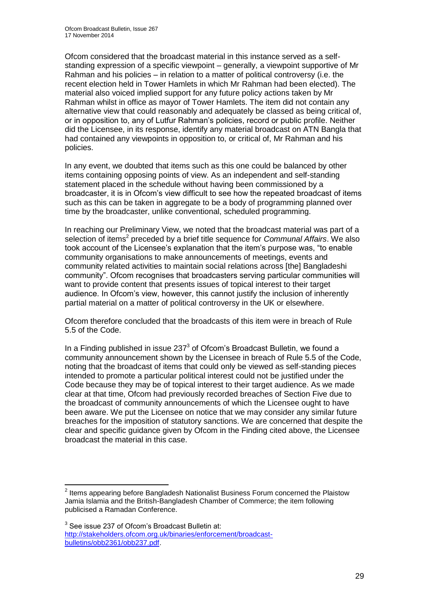Ofcom considered that the broadcast material in this instance served as a selfstanding expression of a specific viewpoint – generally, a viewpoint supportive of Mr Rahman and his policies – in relation to a matter of political controversy (i.e. the recent election held in Tower Hamlets in which Mr Rahman had been elected). The material also voiced implied support for any future policy actions taken by Mr Rahman whilst in office as mayor of Tower Hamlets. The item did not contain any alternative view that could reasonably and adequately be classed as being critical of, or in opposition to, any of Lutfur Rahman's policies, record or public profile. Neither did the Licensee, in its response, identify any material broadcast on ATN Bangla that had contained any viewpoints in opposition to, or critical of, Mr Rahman and his policies.

In any event, we doubted that items such as this one could be balanced by other items containing opposing points of view. As an independent and self-standing statement placed in the schedule without having been commissioned by a broadcaster, it is in Ofcom's view difficult to see how the repeated broadcast of items such as this can be taken in aggregate to be a body of programming planned over time by the broadcaster, unlike conventional, scheduled programming.

In reaching our Preliminary View, we noted that the broadcast material was part of a selection of items<sup>2</sup> preceded by a brief title sequence for *Communal Affairs*. We also took account of the Licensee's explanation that the item's purpose was, "to enable community organisations to make announcements of meetings, events and community related activities to maintain social relations across [the] Bangladeshi community". Ofcom recognises that broadcasters serving particular communities will want to provide content that presents issues of topical interest to their target audience. In Ofcom's view, however, this cannot justify the inclusion of inherently partial material on a matter of political controversy in the UK or elsewhere.

Ofcom therefore concluded that the broadcasts of this item were in breach of Rule 5.5 of the Code.

In a Finding published in issue  $237<sup>3</sup>$  of Ofcom's Broadcast Bulletin, we found a community announcement shown by the Licensee in breach of Rule 5.5 of the Code, noting that the broadcast of items that could only be viewed as self-standing pieces intended to promote a particular political interest could not be justified under the Code because they may be of topical interest to their target audience. As we made clear at that time, Ofcom had previously recorded breaches of Section Five due to the broadcast of community announcements of which the Licensee ought to have been aware. We put the Licensee on notice that we may consider any similar future breaches for the imposition of statutory sanctions. We are concerned that despite the clear and specific guidance given by Ofcom in the Finding cited above, the Licensee broadcast the material in this case.

1

 $2$  Items appearing before Bangladesh Nationalist Business Forum concerned the Plaistow Jamia Islamia and the British-Bangladesh Chamber of Commerce; the item following publicised a Ramadan Conference.

 $3$  See issue 237 of Ofcom's Broadcast Bulletin at: [http://stakeholders.ofcom.org.uk/binaries/enforcement/broadcast](http://stakeholders.ofcom.org.uk/binaries/enforcement/broadcast-bulletins/obb2361/obb237.pdf)[bulletins/obb2361/obb237.pdf.](http://stakeholders.ofcom.org.uk/binaries/enforcement/broadcast-bulletins/obb2361/obb237.pdf)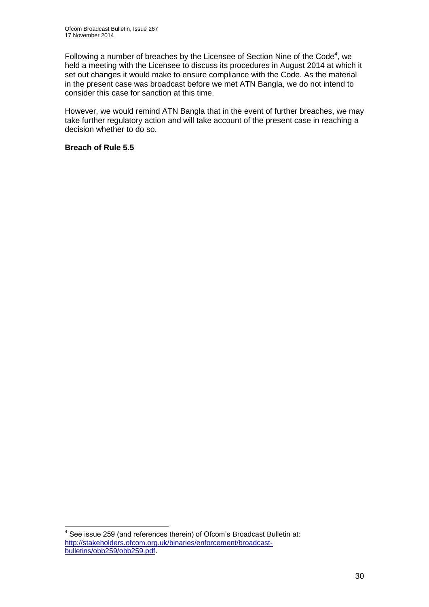Following a number of breaches by the Licensee of Section Nine of the Code<sup>4</sup>, we held a meeting with the Licensee to discuss its procedures in August 2014 at which it set out changes it would make to ensure compliance with the Code. As the material in the present case was broadcast before we met ATN Bangla, we do not intend to consider this case for sanction at this time.

However, we would remind ATN Bangla that in the event of further breaches, we may take further regulatory action and will take account of the present case in reaching a decision whether to do so.

#### **Breach of Rule 5.5**

1

 $4$  See issue 259 (and references therein) of Ofcom's Broadcast Bulletin at: [http://stakeholders.ofcom.org.uk/binaries/enforcement/broadcast](http://stakeholders.ofcom.org.uk/binaries/enforcement/broadcast-bulletins/obb259/obb259.pdf)[bulletins/obb259/obb259.pdf.](http://stakeholders.ofcom.org.uk/binaries/enforcement/broadcast-bulletins/obb259/obb259.pdf)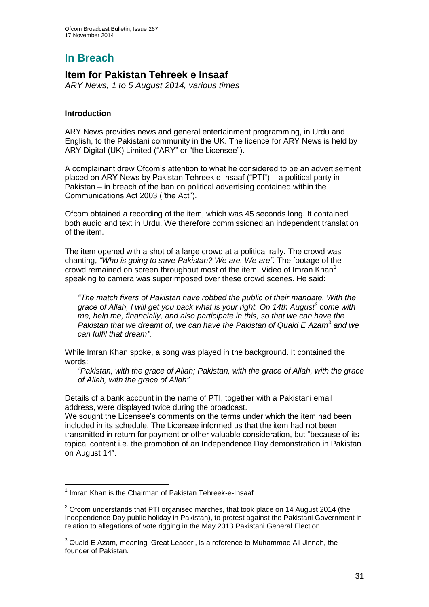## **In Breach**

## **Item for Pakistan Tehreek e Insaaf**

*ARY News, 1 to 5 August 2014, various times*

#### **Introduction**

ARY News provides news and general entertainment programming, in Urdu and English, to the Pakistani community in the UK. The licence for ARY News is held by ARY Digital (UK) Limited ("ARY" or "the Licensee").

A complainant drew Ofcom's attention to what he considered to be an advertisement placed on ARY News by Pakistan Tehreek e Insaaf ("PTI") – a political party in Pakistan – in breach of the ban on political advertising contained within the Communications Act 2003 ("the Act").

Ofcom obtained a recording of the item, which was 45 seconds long. It contained both audio and text in Urdu. We therefore commissioned an independent translation of the item.

The item opened with a shot of a large crowd at a political rally. The crowd was chanting, *"Who is going to save Pakistan? We are. We are"*. The footage of the crowd remained on screen throughout most of the item. Video of Imran Khan<sup>1</sup> speaking to camera was superimposed over these crowd scenes. He said:

*"The match fixers of Pakistan have robbed the public of their mandate. With the grace of Allah, I will get you back what is your right. On 14th August<sup>2</sup> come with me, help me, financially, and also participate in this, so that we can have the*  Pakistan that we dreamt of, we can have the Pakistan of Quaid E Azam<sup>3</sup> and we *can fulfil that dream".*

While Imran Khan spoke, a song was played in the background. It contained the words:

*"Pakistan, with the grace of Allah; Pakistan, with the grace of Allah, with the grace of Allah, with the grace of Allah".*

Details of a bank account in the name of PTI, together with a Pakistani email address, were displayed twice during the broadcast.

We sought the Licensee's comments on the terms under which the item had been included in its schedule. The Licensee informed us that the item had not been transmitted in return for payment or other valuable consideration, but "because of its topical content i.e. the promotion of an Independence Day demonstration in Pakistan on August 14".

 1 Imran Khan is the Chairman of Pakistan Tehreek-e-Insaaf.

 $2$  Ofcom understands that PTI organised marches, that took place on 14 August 2014 (the Independence Day public holiday in Pakistan), to protest against the Pakistani Government in relation to allegations of vote rigging in the May 2013 Pakistani General Election.

<sup>&</sup>lt;sup>3</sup> Quaid E Azam, meaning 'Great Leader', is a reference to Muhammad Ali Jinnah, the founder of Pakistan.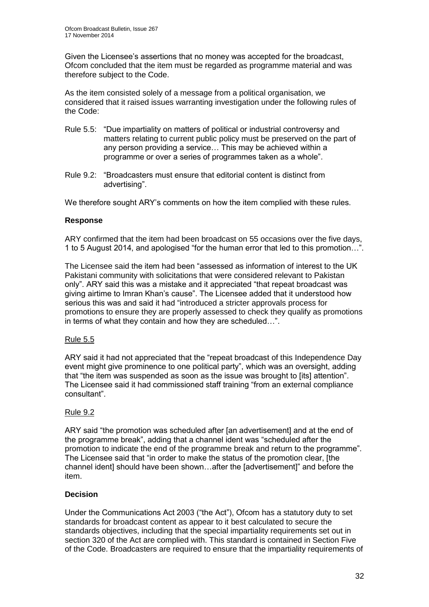Given the Licensee's assertions that no money was accepted for the broadcast, Ofcom concluded that the item must be regarded as programme material and was therefore subject to the Code.

As the item consisted solely of a message from a political organisation, we considered that it raised issues warranting investigation under the following rules of the Code:

- Rule 5.5: "Due impartiality on matters of political or industrial controversy and matters relating to current public policy must be preserved on the part of any person providing a service… This may be achieved within a programme or over a series of programmes taken as a whole".
- Rule 9.2: "Broadcasters must ensure that editorial content is distinct from advertising".

We therefore sought ARY's comments on how the item complied with these rules.

#### **Response**

ARY confirmed that the item had been broadcast on 55 occasions over the five days, 1 to 5 August 2014, and apologised "for the human error that led to this promotion…".

The Licensee said the item had been "assessed as information of interest to the UK Pakistani community with solicitations that were considered relevant to Pakistan only". ARY said this was a mistake and it appreciated "that repeat broadcast was giving airtime to Imran Khan's cause". The Licensee added that it understood how serious this was and said it had "introduced a stricter approvals process for promotions to ensure they are properly assessed to check they qualify as promotions in terms of what they contain and how they are scheduled…".

#### Rule 5.5

ARY said it had not appreciated that the "repeat broadcast of this Independence Day event might give prominence to one political party", which was an oversight, adding that "the item was suspended as soon as the issue was brought to [its] attention". The Licensee said it had commissioned staff training "from an external compliance consultant".

#### Rule 9.2

ARY said "the promotion was scheduled after [an advertisement] and at the end of the programme break", adding that a channel ident was "scheduled after the promotion to indicate the end of the programme break and return to the programme". The Licensee said that "in order to make the status of the promotion clear, [the channel ident] should have been shown…after the [advertisement]" and before the item.

#### **Decision**

Under the Communications Act 2003 ("the Act"), Ofcom has a statutory duty to set standards for broadcast content as appear to it best calculated to secure the standards objectives, including that the special impartiality requirements set out in section 320 of the Act are complied with. This standard is contained in Section Five of the Code. Broadcasters are required to ensure that the impartiality requirements of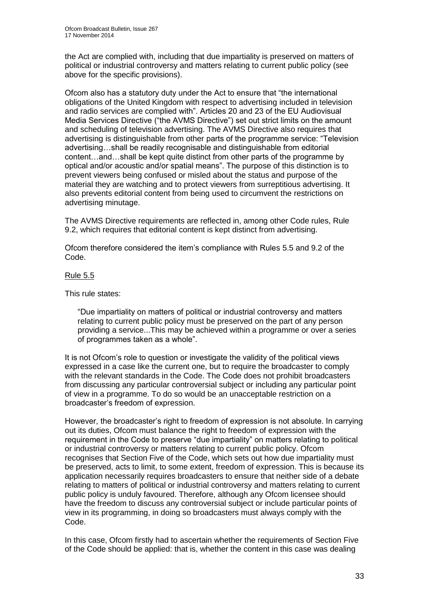the Act are complied with, including that due impartiality is preserved on matters of political or industrial controversy and matters relating to current public policy (see above for the specific provisions).

Ofcom also has a statutory duty under the Act to ensure that "the international obligations of the United Kingdom with respect to advertising included in television and radio services are complied with". Articles 20 and 23 of the EU Audiovisual Media Services Directive ("the AVMS Directive") set out strict limits on the amount and scheduling of television advertising. The AVMS Directive also requires that advertising is distinguishable from other parts of the programme service: "Television advertising…shall be readily recognisable and distinguishable from editorial content…and…shall be kept quite distinct from other parts of the programme by optical and/or acoustic and/or spatial means". The purpose of this distinction is to prevent viewers being confused or misled about the status and purpose of the material they are watching and to protect viewers from surreptitious advertising. It also prevents editorial content from being used to circumvent the restrictions on advertising minutage.

The AVMS Directive requirements are reflected in, among other Code rules, Rule 9.2, which requires that editorial content is kept distinct from advertising.

Ofcom therefore considered the item's compliance with Rules 5.5 and 9.2 of the Code.

#### Rule 5.5

This rule states:

"Due impartiality on matters of political or industrial controversy and matters relating to current public policy must be preserved on the part of any person providing a service...This may be achieved within a programme or over a series of programmes taken as a whole".

It is not Ofcom's role to question or investigate the validity of the political views expressed in a case like the current one, but to require the broadcaster to comply with the relevant standards in the Code. The Code does not prohibit broadcasters from discussing any particular controversial subject or including any particular point of view in a programme. To do so would be an unacceptable restriction on a broadcaster's freedom of expression.

However, the broadcaster's right to freedom of expression is not absolute. In carrying out its duties, Ofcom must balance the right to freedom of expression with the requirement in the Code to preserve "due impartiality" on matters relating to political or industrial controversy or matters relating to current public policy. Ofcom recognises that Section Five of the Code, which sets out how due impartiality must be preserved, acts to limit, to some extent, freedom of expression. This is because its application necessarily requires broadcasters to ensure that neither side of a debate relating to matters of political or industrial controversy and matters relating to current public policy is unduly favoured. Therefore, although any Ofcom licensee should have the freedom to discuss any controversial subject or include particular points of view in its programming, in doing so broadcasters must always comply with the Code.

In this case, Ofcom firstly had to ascertain whether the requirements of Section Five of the Code should be applied: that is, whether the content in this case was dealing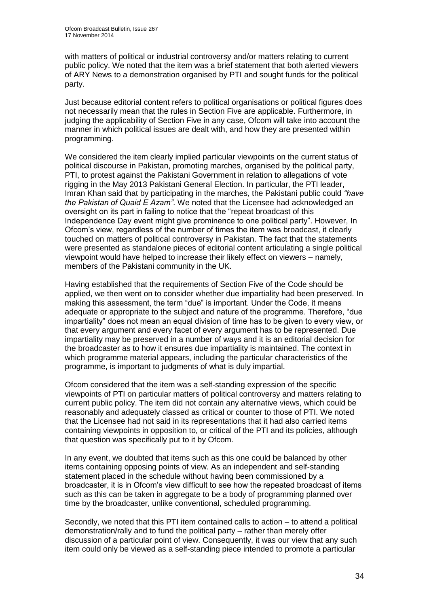with matters of political or industrial controversy and/or matters relating to current public policy. We noted that the item was a brief statement that both alerted viewers of ARY News to a demonstration organised by PTI and sought funds for the political party.

Just because editorial content refers to political organisations or political figures does not necessarily mean that the rules in Section Five are applicable. Furthermore, in judging the applicability of Section Five in any case, Ofcom will take into account the manner in which political issues are dealt with, and how they are presented within programming.

We considered the item clearly implied particular viewpoints on the current status of political discourse in Pakistan, promoting marches, organised by the political party, PTI, to protest against the Pakistani Government in relation to allegations of vote rigging in the May 2013 Pakistani General Election. In particular, the PTI leader, Imran Khan said that by participating in the marches, the Pakistani public could *"have the Pakistan of Quaid E Azam"*. We noted that the Licensee had acknowledged an oversight on its part in failing to notice that the "repeat broadcast of this Independence Day event might give prominence to one political party". However, In Ofcom's view, regardless of the number of times the item was broadcast, it clearly touched on matters of political controversy in Pakistan. The fact that the statements were presented as standalone pieces of editorial content articulating a single political viewpoint would have helped to increase their likely effect on viewers – namely, members of the Pakistani community in the UK.

Having established that the requirements of Section Five of the Code should be applied, we then went on to consider whether due impartiality had been preserved. In making this assessment, the term "due" is important. Under the Code, it means adequate or appropriate to the subject and nature of the programme. Therefore, "due impartiality" does not mean an equal division of time has to be given to every view, or that every argument and every facet of every argument has to be represented. Due impartiality may be preserved in a number of ways and it is an editorial decision for the broadcaster as to how it ensures due impartiality is maintained. The context in which programme material appears, including the particular characteristics of the programme, is important to judgments of what is duly impartial.

Ofcom considered that the item was a self-standing expression of the specific viewpoints of PTI on particular matters of political controversy and matters relating to current public policy. The item did not contain any alternative views, which could be reasonably and adequately classed as critical or counter to those of PTI. We noted that the Licensee had not said in its representations that it had also carried items containing viewpoints in opposition to, or critical of the PTI and its policies, although that question was specifically put to it by Ofcom.

In any event, we doubted that items such as this one could be balanced by other items containing opposing points of view. As an independent and self-standing statement placed in the schedule without having been commissioned by a broadcaster, it is in Ofcom's view difficult to see how the repeated broadcast of items such as this can be taken in aggregate to be a body of programming planned over time by the broadcaster, unlike conventional, scheduled programming.

Secondly, we noted that this PTI item contained calls to action – to attend a political demonstration/rally and to fund the political party – rather than merely offer discussion of a particular point of view. Consequently, it was our view that any such item could only be viewed as a self-standing piece intended to promote a particular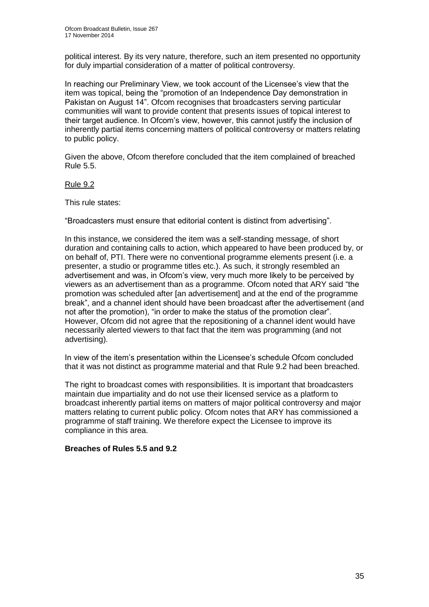political interest. By its very nature, therefore, such an item presented no opportunity for duly impartial consideration of a matter of political controversy.

In reaching our Preliminary View, we took account of the Licensee's view that the item was topical, being the "promotion of an Independence Day demonstration in Pakistan on August 14". Ofcom recognises that broadcasters serving particular communities will want to provide content that presents issues of topical interest to their target audience. In Ofcom's view, however, this cannot justify the inclusion of inherently partial items concerning matters of political controversy or matters relating to public policy.

Given the above, Ofcom therefore concluded that the item complained of breached Rule 5.5.

#### Rule 9.2

This rule states:

"Broadcasters must ensure that editorial content is distinct from advertising".

In this instance, we considered the item was a self-standing message, of short duration and containing calls to action, which appeared to have been produced by, or on behalf of, PTI. There were no conventional programme elements present (i.e. a presenter, a studio or programme titles etc.). As such, it strongly resembled an advertisement and was, in Ofcom's view, very much more likely to be perceived by viewers as an advertisement than as a programme. Ofcom noted that ARY said "the promotion was scheduled after [an advertisement] and at the end of the programme break", and a channel ident should have been broadcast after the advertisement (and not after the promotion), "in order to make the status of the promotion clear". However, Ofcom did not agree that the repositioning of a channel ident would have necessarily alerted viewers to that fact that the item was programming (and not advertising).

In view of the item's presentation within the Licensee's schedule Ofcom concluded that it was not distinct as programme material and that Rule 9.2 had been breached.

The right to broadcast comes with responsibilities. It is important that broadcasters maintain due impartiality and do not use their licensed service as a platform to broadcast inherently partial items on matters of major political controversy and major matters relating to current public policy. Ofcom notes that ARY has commissioned a programme of staff training. We therefore expect the Licensee to improve its compliance in this area.

#### **Breaches of Rules 5.5 and 9.2**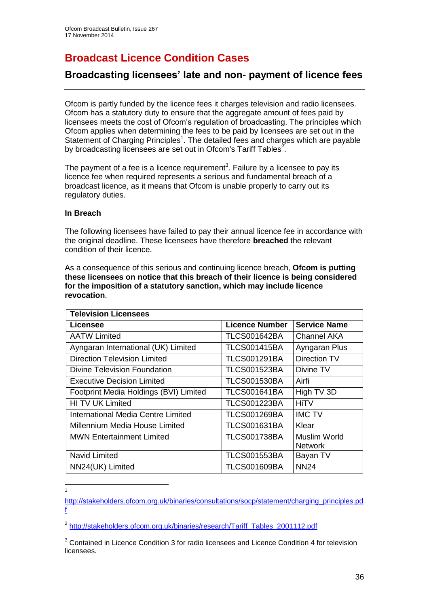# **Broadcast Licence Condition Cases**

## **Broadcasting licensees' late and non- payment of licence fees**

Ofcom is partly funded by the licence fees it charges television and radio licensees. Ofcom has a statutory duty to ensure that the aggregate amount of fees paid by licensees meets the cost of Ofcom's regulation of broadcasting. The principles which Ofcom applies when determining the fees to be paid by licensees are set out in the Statement of Charging Principles<sup>1</sup>. The detailed fees and charges which are payable by broadcasting licensees are set out in Ofcom's Tariff Tables<sup>2</sup>.

The payment of a fee is a licence requirement<sup>3</sup>. Failure by a licensee to pay its licence fee when required represents a serious and fundamental breach of a broadcast licence, as it means that Ofcom is unable properly to carry out its regulatory duties.

#### **In Breach**

 $\frac{1}{1}$ 

The following licensees have failed to pay their annual licence fee in accordance with the original deadline. These licensees have therefore **breached** the relevant condition of their licence.

As a consequence of this serious and continuing licence breach, **Ofcom is putting these licensees on notice that this breach of their licence is being considered for the imposition of a statutory sanction, which may include licence revocation**.

| <b>Television Licensees</b>            |                       |                                |
|----------------------------------------|-----------------------|--------------------------------|
| Licensee                               | <b>Licence Number</b> | <b>Service Name</b>            |
| <b>AATW Limited</b>                    | <b>TLCS001642BA</b>   | Channel AKA                    |
| Ayngaran International (UK) Limited    | TLCS001415BA          | Ayngaran Plus                  |
| <b>Direction Television Limited</b>    | <b>TLCS001291BA</b>   | Direction TV                   |
| Divine Television Foundation           | TLCS001523BA          | Divine TV                      |
| <b>Executive Decision Limited</b>      | <b>TLCS001530BA</b>   | Airfi                          |
| Footprint Media Holdings (BVI) Limited | <b>TLCS001641BA</b>   | High TV 3D                     |
| HI TV UK Limited                       | <b>TLCS001223BA</b>   | <b>HiTV</b>                    |
| International Media Centre Limited     | <b>TLCS001269BA</b>   | <b>IMC TV</b>                  |
| Millennium Media House Limited         | <b>TLCS001631BA</b>   | Klear                          |
| <b>MWN Entertainment Limited</b>       | <b>TLCS001738BA</b>   | Muslim World<br><b>Network</b> |
| Navid Limited                          | <b>TLCS001553BA</b>   | Bayan TV                       |
| NN24(UK) Limited                       | <b>TLCS001609BA</b>   | <b>NN24</b>                    |

[http://stakeholders.ofcom.org.uk/binaries/consultations/socp/statement/charging\\_principles.pd](http://stakeholders.ofcom.org.uk/binaries/consultations/socp/statement/charging_principles.pdf) [f](http://stakeholders.ofcom.org.uk/binaries/consultations/socp/statement/charging_principles.pdf)

<sup>&</sup>lt;sup>2</sup> [http://stakeholders.ofcom.org.uk/binaries/research/Tariff\\_Tables\\_2001112.pdf](http://stakeholders.ofcom.org.uk/binaries/research/Tariff_Tables_2001112.pdf)

<sup>&</sup>lt;sup>3</sup> Contained in Licence Condition 3 for radio licensees and Licence Condition 4 for television licensees.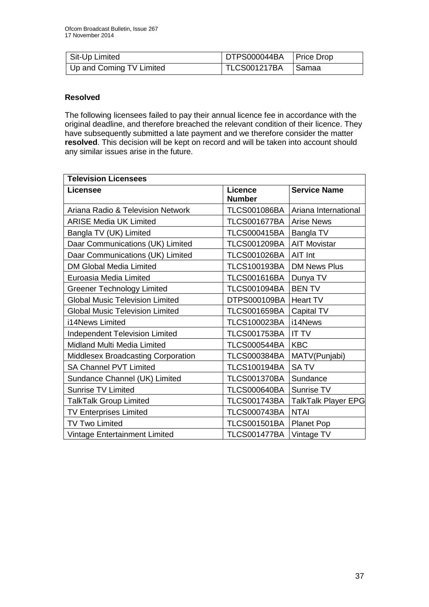| Sit-Up Limited           | DTPS000044BA   Price Drop |         |
|--------------------------|---------------------------|---------|
| Up and Coming TV Limited | TLCS001217BA              | . Samaa |

#### **Resolved**

The following licensees failed to pay their annual licence fee in accordance with the original deadline, and therefore breached the relevant condition of their licence. They have subsequently submitted a late payment and we therefore consider the matter **resolved**. This decision will be kept on record and will be taken into account should any similar issues arise in the future.

| <b>Television Licensees</b>            |                                 |                      |
|----------------------------------------|---------------------------------|----------------------|
| <b>Licensee</b>                        | <b>Licence</b><br><b>Number</b> | <b>Service Name</b>  |
| Ariana Radio & Television Network      | <b>TLCS001086BA</b>             | Ariana International |
| <b>ARISE Media UK Limited</b>          | <b>TLCS001677BA</b>             | Arise News           |
| Bangla TV (UK) Limited                 | TLCS000415BA   Bangla TV        |                      |
| Daar Communications (UK) Limited       | <b>TLCS001209BA</b>             | <b>AIT Movistar</b>  |
| Daar Communications (UK) Limited       | <b>TLCS001026BA</b>             | <b>AIT Int</b>       |
| <b>DM Global Media Limited</b>         | <b>TLCS100193BA</b>             | <b>DM News Plus</b>  |
| Euroasia Media Limited                 | <b>TLCS001616BA</b>             | Dunya TV             |
| <b>Greener Technology Limited</b>      | <b>TLCS001094BA</b>             | <b>BEN TV</b>        |
| <b>Global Music Television Limited</b> | DTPS000109BA                    | <b>Heart TV</b>      |
| <b>Global Music Television Limited</b> | <b>TLCS001659BA</b>             | Capital TV           |
| i14News Limited                        | <b>TLCS100023BA</b>             | i14News              |
| <b>Independent Television Limited</b>  | <b>TLCS001753BA</b>             | <b>IT TV</b>         |
| Midland Multi Media Limited            | <b>TLCS000544BA</b>             | <b>KBC</b>           |
| Middlesex Broadcasting Corporation     | <b>TLCS000384BA</b>             | MATV(Punjabi)        |
| <b>SA Channel PVT Limited</b>          | <b>TLCS100194BA</b>             | <b>SATV</b>          |
| Sundance Channel (UK) Limited          | <b>TLCS001370BA</b>             | Sundance             |
| <b>Sunrise TV Limited</b>              | <b>TLCS000640BA</b>             | Sunrise TV           |
| <b>TalkTalk Group Limited</b>          | <b>TLCS001743BA</b>             | TalkTalk Player EPG  |
| <b>TV Enterprises Limited</b>          | <b>TLCS000743BA</b>             | <b>NTAI</b>          |
| TV Two Limited                         | <b>TLCS001501BA</b>             | <b>Planet Pop</b>    |
| Vintage Entertainment Limited          | <b>TLCS001477BA</b>             | Vintage TV           |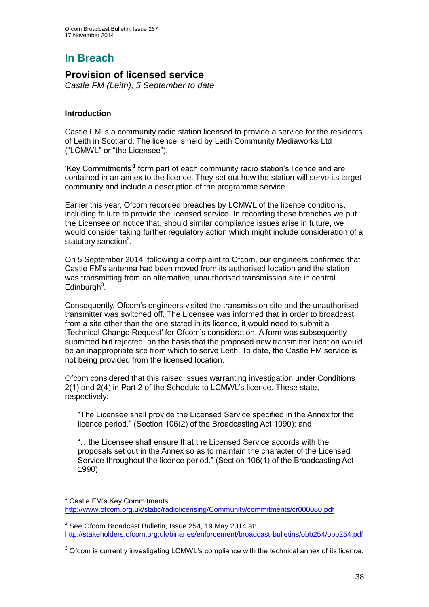# **In Breach**

### **Provision of licensed service**

*Castle FM (Leith), 5 September to date* 

#### **Introduction**

1

Castle FM is a community radio station licensed to provide a service for the residents of Leith in Scotland. The licence is held by Leith Community Mediaworks Ltd ("LCMWL" or "the Licensee").

'Key Commitments'<sup>1</sup> form part of each community radio station's licence and are contained in an annex to the licence. They set out how the station will serve its target community and include a description of the programme service.

Earlier this year, Ofcom recorded breaches by LCMWL of the licence conditions, including failure to provide the licensed service. In recording these breaches we put the Licensee on notice that, should similar compliance issues arise in future, we would consider taking further regulatory action which might include consideration of a statutory sanction<sup>2</sup>.

On 5 September 2014, following a complaint to Ofcom, our engineers confirmed that Castle FM's antenna had been moved from its authorised location and the station was transmitting from an alternative, unauthorised transmission site in central Edinburgh $3$ .

Consequently, Ofcom's engineers visited the transmission site and the unauthorised transmitter was switched off. The Licensee was informed that in order to broadcast from a site other than the one stated in its licence, it would need to submit a 'Technical Change Request' for Ofcom's consideration. A form was subsequently submitted but rejected, on the basis that the proposed new transmitter location would be an inappropriate site from which to serve Leith. To date, the Castle FM service is not being provided from the licensed location.

Ofcom considered that this raised issues warranting investigation under Conditions 2(1) and 2(4) in Part 2 of the Schedule to LCMWL's licence. These state, respectively:

"The Licensee shall provide the Licensed Service specified in the Annex for the licence period." (Section 106(2) of the Broadcasting Act 1990); and

"…the Licensee shall ensure that the Licensed Service accords with the proposals set out in the Annex so as to maintain the character of the Licensed Service throughout the licence period." (Section 106(1) of the Broadcasting Act 1990).

Castle FM's Key Commitments: <http://www.ofcom.org.uk/static/radiolicensing/Community/commitments/cr000080.pdf>

 $2$  See Ofcom Broadcast Bulletin, Issue 254, 19 May 2014 at: <http://stakeholders.ofcom.org.uk/binaries/enforcement/broadcast-bulletins/obb254/obb254.pdf>

 $3$  Ofcom is currently investigating LCMWL's compliance with the technical annex of its licence.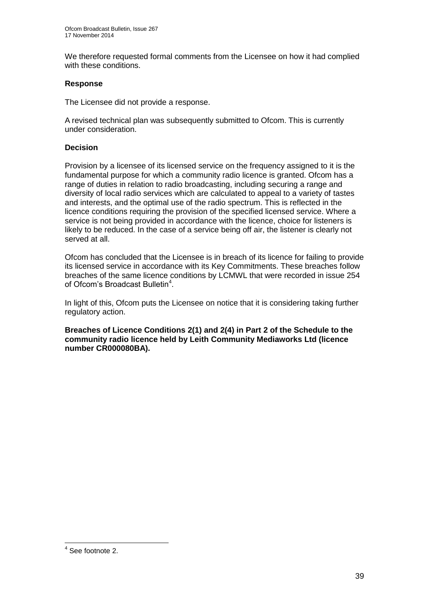We therefore requested formal comments from the Licensee on how it had complied with these conditions.

#### **Response**

The Licensee did not provide a response.

A revised technical plan was subsequently submitted to Ofcom. This is currently under consideration.

#### **Decision**

Provision by a licensee of its licensed service on the frequency assigned to it is the fundamental purpose for which a community radio licence is granted. Ofcom has a range of duties in relation to radio broadcasting, including securing a range and diversity of local radio services which are calculated to appeal to a variety of tastes and interests, and the optimal use of the radio spectrum. This is reflected in the licence conditions requiring the provision of the specified licensed service. Where a service is not being provided in accordance with the licence, choice for listeners is likely to be reduced. In the case of a service being off air, the listener is clearly not served at all.

Ofcom has concluded that the Licensee is in breach of its licence for failing to provide its licensed service in accordance with its Key Commitments. These breaches follow breaches of the same licence conditions by LCMWL that were recorded in issue 254 of Ofcom's Broadcast Bulletin<sup>4</sup>.

In light of this, Ofcom puts the Licensee on notice that it is considering taking further regulatory action.

**Breaches of Licence Conditions 2(1) and 2(4) in Part 2 of the Schedule to the community radio licence held by Leith Community Mediaworks Ltd (licence number CR000080BA).**

 4 See footnote 2.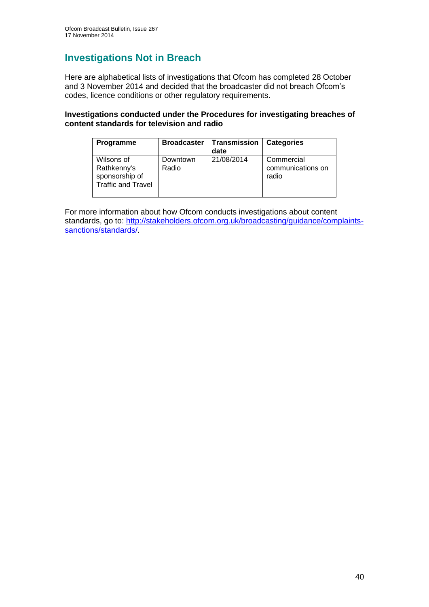## **Investigations Not in Breach**

Here are alphabetical lists of investigations that Ofcom has completed 28 October and 3 November 2014 and decided that the broadcaster did not breach Ofcom's codes, licence conditions or other regulatory requirements.

#### **Investigations conducted under the Procedures for investigating breaches of content standards for television and radio**

| Programme                                                                | <b>Broadcaster</b> | Transmission<br>date | <b>Categories</b>                        |
|--------------------------------------------------------------------------|--------------------|----------------------|------------------------------------------|
| Wilsons of<br>Rathkenny's<br>sponsorship of<br><b>Traffic and Travel</b> | Downtown<br>Radio  | 21/08/2014           | Commercial<br>communications on<br>radio |

For more information about how Ofcom conducts investigations about content standards, go to: [http://stakeholders.ofcom.org.uk/broadcasting/guidance/complaints](http://stakeholders.ofcom.org.uk/broadcasting/guidance/complaints-sanctions/standards/)[sanctions/standards/.](http://stakeholders.ofcom.org.uk/broadcasting/guidance/complaints-sanctions/standards/)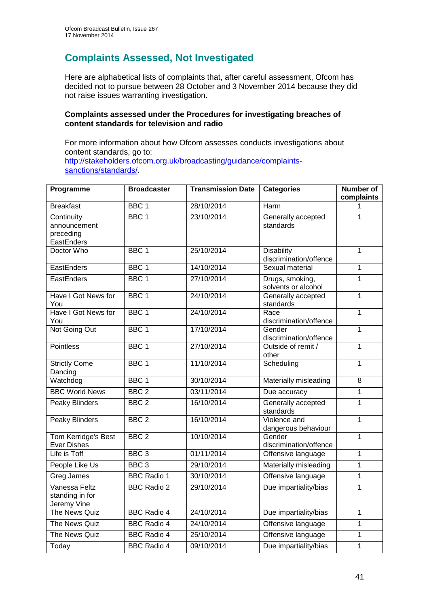## **Complaints Assessed, Not Investigated**

Here are alphabetical lists of complaints that, after careful assessment, Ofcom has decided not to pursue between 28 October and 3 November 2014 because they did not raise issues warranting investigation.

#### **Complaints assessed under the Procedures for investigating breaches of content standards for television and radio**

For more information about how Ofcom assesses conducts investigations about content standards, go to: [http://stakeholders.ofcom.org.uk/broadcasting/guidance/complaints](http://stakeholders.ofcom.org.uk/broadcasting/guidance/complaints-sanctions/standards/)[sanctions/standards/.](http://stakeholders.ofcom.org.uk/broadcasting/guidance/complaints-sanctions/standards/)

| Programme                                             | <b>Broadcaster</b> | <b>Transmission Date</b> | <b>Categories</b>                           | <b>Number of</b><br>complaints |
|-------------------------------------------------------|--------------------|--------------------------|---------------------------------------------|--------------------------------|
| <b>Breakfast</b>                                      | BBC <sub>1</sub>   | 28/10/2014               | Harm                                        | 1                              |
| Continuity<br>announcement<br>preceding<br>EastEnders | BBC <sub>1</sub>   | 23/10/2014               | Generally accepted<br>standards             | 1                              |
| Doctor Who                                            | BBC <sub>1</sub>   | 25/10/2014               | <b>Disability</b><br>discrimination/offence | $\overline{1}$                 |
| EastEnders                                            | BBC <sub>1</sub>   | 14/10/2014               | Sexual material                             | 1                              |
| EastEnders                                            | BBC <sub>1</sub>   | 27/10/2014               | Drugs, smoking,<br>solvents or alcohol      | $\overline{1}$                 |
| Have I Got News for<br>You                            | BBC <sub>1</sub>   | 24/10/2014               | Generally accepted<br>standards             | 1                              |
| Have I Got News for<br>You                            | BBC <sub>1</sub>   | 24/10/2014               | Race<br>discrimination/offence              | $\overline{1}$                 |
| Not Going Out                                         | BBC <sub>1</sub>   | 17/10/2014               | Gender<br>discrimination/offence            | $\mathbf{1}$                   |
| <b>Pointless</b>                                      | BBC <sub>1</sub>   | 27/10/2014               | Outside of remit /<br>other                 | 1                              |
| <b>Strictly Come</b><br>Dancing                       | BBC <sub>1</sub>   | 11/10/2014               | Scheduling                                  | $\mathbf{1}$                   |
| Watchdog                                              | BBC <sub>1</sub>   | 30/10/2014               | Materially misleading                       | $\overline{8}$                 |
| <b>BBC World News</b>                                 | BBC <sub>2</sub>   | 03/11/2014               | Due accuracy                                | 1                              |
| <b>Peaky Blinders</b>                                 | BBC <sub>2</sub>   | 16/10/2014               | Generally accepted<br>standards             | $\overline{1}$                 |
| <b>Peaky Blinders</b>                                 | BBC <sub>2</sub>   | 16/10/2014               | Violence and<br>dangerous behaviour         | 1                              |
| Tom Kerridge's Best<br><b>Ever Dishes</b>             | BBC <sub>2</sub>   | 10/10/2014               | Gender<br>discrimination/offence            | $\overline{1}$                 |
| Life is Toff                                          | BBC <sub>3</sub>   | 01/11/2014               | Offensive language                          | 1                              |
| People Like Us                                        | BBC <sub>3</sub>   | 29/10/2014               | Materially misleading                       | 1                              |
| Greg James                                            | <b>BBC Radio 1</b> | 30/10/2014               | Offensive language                          | $\mathbf{1}$                   |
| Vanessa Feltz<br>standing in for<br>Jeremy Vine       | <b>BBC Radio 2</b> | 29/10/2014               | Due impartiality/bias                       | $\mathbf{1}$                   |
| The News Quiz                                         | <b>BBC Radio 4</b> | 24/10/2014               | Due impartiality/bias                       | $\mathbf{1}$                   |
| The News Quiz                                         | <b>BBC Radio 4</b> | 24/10/2014               | Offensive language                          | 1                              |
| The News Quiz                                         | <b>BBC Radio 4</b> | 25/10/2014               | Offensive language                          | 1                              |
| Today                                                 | <b>BBC Radio 4</b> | 09/10/2014               | Due impartiality/bias                       | 1                              |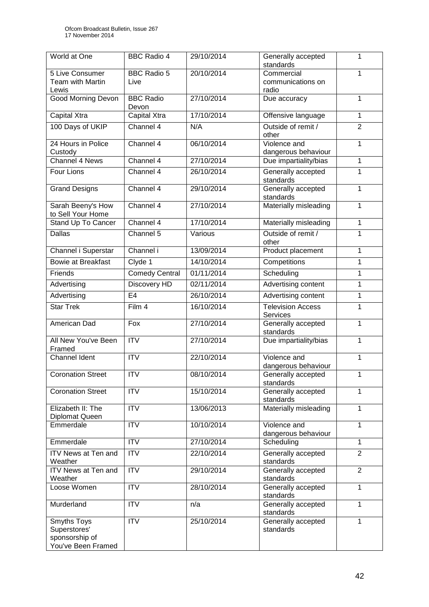| World at One                   | <b>BBC Radio 4</b>    | 29/10/2014 | Generally accepted                  | 1              |
|--------------------------------|-----------------------|------------|-------------------------------------|----------------|
| 5 Live Consumer                | <b>BBC Radio 5</b>    | 20/10/2014 | standards<br>Commercial             | $\mathbf{1}$   |
| <b>Team with Martin</b>        | Live                  |            | communications on                   |                |
| Lewis                          |                       |            | radio                               |                |
| <b>Good Morning Devon</b>      | <b>BBC Radio</b>      | 27/10/2014 | Due accuracy                        | 1              |
|                                | Devon                 |            |                                     |                |
| Capital Xtra                   | Capital Xtra          | 17/10/2014 | Offensive language                  | $\mathbf{1}$   |
| 100 Days of UKIP               | Channel 4             | N/A        | Outside of remit /                  | $\overline{2}$ |
|                                |                       |            | other                               |                |
| 24 Hours in Police<br>Custody  | Channel 4             | 06/10/2014 | Violence and<br>dangerous behaviour | 1              |
| <b>Channel 4 News</b>          | Channel 4             | 27/10/2014 | Due impartiality/bias               | $\mathbf{1}$   |
| Four Lions                     | Channel 4             | 26/10/2014 | Generally accepted                  | 1              |
|                                |                       |            | standards                           |                |
| <b>Grand Designs</b>           | Channel 4             | 29/10/2014 | Generally accepted<br>standards     | $\mathbf{1}$   |
| Sarah Beeny's How              | Channel 4             | 27/10/2014 | Materially misleading               | 1              |
| to Sell Your Home              |                       |            |                                     |                |
| Stand Up To Cancer             | Channel 4             | 17/10/2014 | Materially misleading               | $\mathbf{1}$   |
| <b>Dallas</b>                  | Channel 5             | Various    | Outside of remit /                  | $\mathbf{1}$   |
|                                |                       |            | other                               |                |
| Channel i Superstar            | Channel i             | 13/09/2014 | Product placement                   | $\mathbf{1}$   |
| <b>Bowie at Breakfast</b>      | Clyde 1               | 14/10/2014 | Competitions                        | 1              |
| Friends                        | <b>Comedy Central</b> | 01/11/2014 | Scheduling                          | $\mathbf{1}$   |
| Advertising                    | Discovery HD          | 02/11/2014 | Advertising content                 | $\mathbf{1}$   |
| Advertising                    | E <sub>4</sub>        | 26/10/2014 | Advertising content                 | 1              |
| <b>Star Trek</b>               | Film 4                | 16/10/2014 | <b>Television Access</b>            | 1              |
|                                |                       |            | Services                            |                |
| American Dad                   | Fox                   | 27/10/2014 | Generally accepted                  | 1              |
| All New You've Been            | $\overline{ITV}$      | 27/10/2014 | standards<br>Due impartiality/bias  | $\mathbf{1}$   |
| Framed                         |                       |            |                                     |                |
| <b>Channel Ident</b>           | $\overline{ITV}$      | 22/10/2014 | Violence and                        | 1              |
|                                |                       |            | dangerous behaviour                 |                |
| <b>Coronation Street</b>       | <b>ITV</b>            | 08/10/2014 | Generally accepted                  | $\mathbf{1}$   |
| <b>Coronation Street</b>       | $\overline{ITV}$      | 15/10/2014 | standards<br>Generally accepted     | 1              |
|                                |                       |            | standards                           |                |
| Elizabeth II: The              | <b>ITV</b>            | 13/06/2013 | Materially misleading               | 1              |
| Diplomat Queen                 |                       |            |                                     |                |
| Emmerdale                      | <b>ITV</b>            | 10/10/2014 | Violence and<br>dangerous behaviour | $\mathbf{1}$   |
| Emmerdale                      | $\overline{IV}$       | 27/10/2014 | Scheduling                          | $\mathbf{1}$   |
| <b>ITV News at Ten and</b>     | <b>ITV</b>            | 22/10/2014 | Generally accepted                  | $\overline{2}$ |
| Weather                        |                       |            | standards                           |                |
| ITV News at Ten and            | ITV                   | 29/10/2014 | Generally accepted                  | $\overline{2}$ |
| Weather                        |                       |            | standards                           |                |
| Loose Women                    | $\overline{IV}$       | 28/10/2014 | Generally accepted<br>standards     | $\mathbf{1}$   |
| Murderland                     | <b>ITV</b>            | n/a        | Generally accepted                  | 1              |
|                                |                       |            | standards                           |                |
| Smyths Toys                    | <b>ITV</b>            | 25/10/2014 | Generally accepted                  | $\mathbf{1}$   |
| Superstores'<br>sponsorship of |                       |            | standards                           |                |
| You've Been Framed             |                       |            |                                     |                |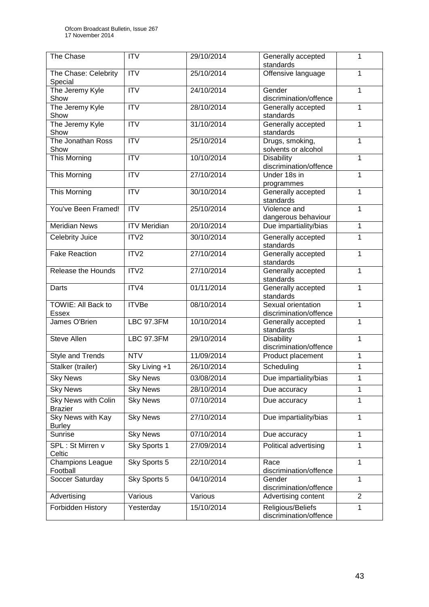| The Chase                             | <b>ITV</b>          | 29/10/2014 | Generally accepted<br>standards              | 1              |
|---------------------------------------|---------------------|------------|----------------------------------------------|----------------|
| The Chase: Celebrity<br>Special       | <b>ITV</b>          | 25/10/2014 | Offensive language                           | 1              |
| The Jeremy Kyle<br>Show               | <b>ITV</b>          | 24/10/2014 | Gender<br>discrimination/offence             | $\mathbf{1}$   |
| The Jeremy Kyle<br>Show               | <b>ITV</b>          | 28/10/2014 | Generally accepted<br>standards              | 1              |
| The Jeremy Kyle<br>Show               | <b>ITV</b>          | 31/10/2014 | Generally accepted<br>standards              | 1              |
| The Jonathan Ross<br>Show             | ITV                 | 25/10/2014 | Drugs, smoking,<br>solvents or alcohol       | 1              |
| <b>This Morning</b>                   | $\overline{ITV}$    | 10/10/2014 | <b>Disability</b><br>discrimination/offence  | $\mathbf{1}$   |
| <b>This Morning</b>                   | $\overline{IV}$     | 27/10/2014 | Under 18s in<br>programmes                   | 1              |
| This Morning                          | <b>ITV</b>          | 30/10/2014 | Generally accepted<br>standards              | $\mathbf{1}$   |
| You've Been Framed!                   | <b>ITV</b>          | 25/10/2014 | Violence and<br>dangerous behaviour          | 1              |
| <b>Meridian News</b>                  | <b>ITV Meridian</b> | 20/10/2014 | Due impartiality/bias                        | 1              |
| <b>Celebrity Juice</b>                | ITV2                | 30/10/2014 | Generally accepted<br>standards              | 1              |
| <b>Fake Reaction</b>                  | ITV2                | 27/10/2014 | Generally accepted<br>standards              | 1              |
| Release the Hounds                    | ITV2                | 27/10/2014 | Generally accepted<br>standards              | $\mathbf{1}$   |
| Darts                                 | ITV4                | 01/11/2014 | Generally accepted<br>standards              | 1              |
| TOWIE: All Back to<br><b>Essex</b>    | <b>ITVBe</b>        | 08/10/2014 | Sexual orientation<br>discrimination/offence | $\mathbf{1}$   |
| James O'Brien                         | <b>LBC 97.3FM</b>   | 10/10/2014 | Generally accepted<br>standards              | 1              |
| <b>Steve Allen</b>                    | <b>LBC 97.3FM</b>   | 29/10/2014 | <b>Disability</b><br>discrimination/offence  | 1              |
| Style and Trends                      | <b>NTV</b>          | 11/09/2014 | Product placement                            | 1              |
| Stalker (trailer)                     | Sky Living +1       | 26/10/2014 | Scheduling                                   | 1              |
| <b>Sky News</b>                       | <b>Sky News</b>     | 03/08/2014 | Due impartiality/bias                        | 1              |
| <b>Sky News</b>                       | <b>Sky News</b>     | 28/10/2014 | Due accuracy                                 | 1              |
| Sky News with Colin<br><b>Brazier</b> | <b>Sky News</b>     | 07/10/2014 | Due accuracy                                 | 1              |
| Sky News with Kay<br><b>Burley</b>    | <b>Sky News</b>     | 27/10/2014 | Due impartiality/bias                        | 1              |
| Sunrise                               | <b>Sky News</b>     | 07/10/2014 | Due accuracy                                 | $\mathbf{1}$   |
| SPL: St Mirren v<br>Celtic            | Sky Sports 1        | 27/09/2014 | Political advertising                        | $\mathbf{1}$   |
| Champions League<br>Football          | Sky Sports 5        | 22/10/2014 | Race<br>discrimination/offence               | 1              |
| Soccer Saturday                       | Sky Sports 5        | 04/10/2014 | Gender<br>discrimination/offence             | 1              |
| Advertising                           | Various             | Various    | Advertising content                          | $\overline{2}$ |
| Forbidden History                     | Yesterday           | 15/10/2014 | Religious/Beliefs<br>discrimination/offence  | 1              |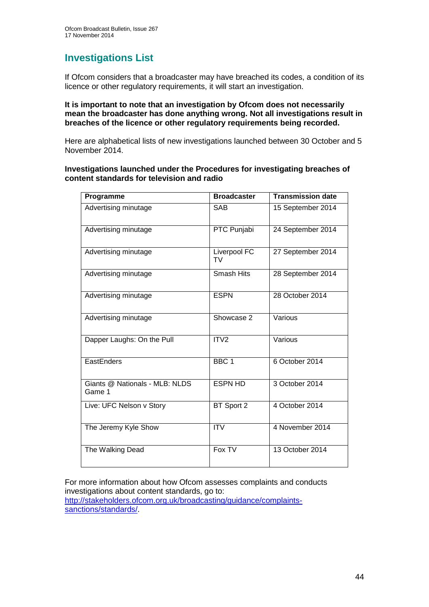## **Investigations List**

If Ofcom considers that a broadcaster may have breached its codes, a condition of its licence or other regulatory requirements, it will start an investigation.

#### **It is important to note that an investigation by Ofcom does not necessarily mean the broadcaster has done anything wrong. Not all investigations result in breaches of the licence or other regulatory requirements being recorded.**

Here are alphabetical lists of new investigations launched between 30 October and 5 November 2014.

#### **Investigations launched under the Procedures for investigating breaches of content standards for television and radio**

| Programme                                | <b>Broadcaster</b> | <b>Transmission date</b> |
|------------------------------------------|--------------------|--------------------------|
| Advertising minutage                     | <b>SAB</b>         | 15 September 2014        |
| Advertising minutage                     | PTC Punjabi        | 24 September 2014        |
| Advertising minutage                     | Liverpool FC<br>TV | 27 September 2014        |
| Advertising minutage                     | Smash Hits         | 28 September 2014        |
| Advertising minutage                     | <b>ESPN</b>        | 28 October 2014          |
| Advertising minutage                     | Showcase 2         | Various                  |
| Dapper Laughs: On the Pull               | ITV <sub>2</sub>   | Various                  |
| EastEnders                               | BBC <sub>1</sub>   | 6 October 2014           |
| Giants @ Nationals - MLB: NLDS<br>Game 1 | <b>ESPN HD</b>     | 3 October 2014           |
| Live: UFC Nelson v Story                 | BT Sport 2         | 4 October 2014           |
| The Jeremy Kyle Show                     | <b>ITV</b>         | 4 November 2014          |
| The Walking Dead                         | Fox TV             | 13 October 2014          |

For more information about how Ofcom assesses complaints and conducts investigations about content standards, go to: [http://stakeholders.ofcom.org.uk/broadcasting/guidance/complaints](http://stakeholders.ofcom.org.uk/broadcasting/guidance/complaints-sanctions/standards/)[sanctions/standards/.](http://stakeholders.ofcom.org.uk/broadcasting/guidance/complaints-sanctions/standards/)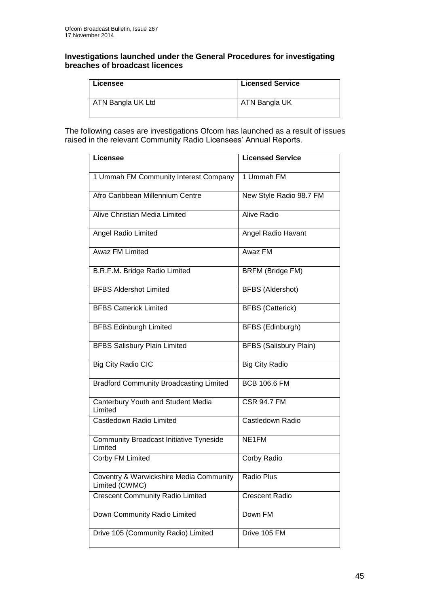#### **Investigations launched under the General Procedures for investigating breaches of broadcast licences**

| Licensee          | <b>Licensed Service</b> |
|-------------------|-------------------------|
| ATN Bangla UK Ltd | ATN Bangla UK           |

The following cases are investigations Ofcom has launched as a result of issues raised in the relevant Community Radio Licensees' Annual Reports.

| <b>Licensee</b>                                           | <b>Licensed Service</b>       |
|-----------------------------------------------------------|-------------------------------|
|                                                           |                               |
| 1 Ummah FM Community Interest Company                     | 1 Ummah FM                    |
| Afro Caribbean Millennium Centre                          | New Style Radio 98.7 FM       |
| Alive Christian Media Limited                             | Alive Radio                   |
| Angel Radio Limited                                       | Angel Radio Havant            |
| Awaz FM Limited                                           | Awaz FM                       |
| B.R.F.M. Bridge Radio Limited                             | <b>BRFM (Bridge FM)</b>       |
| <b>BFBS Aldershot Limited</b>                             | <b>BFBS</b> (Aldershot)       |
| <b>BFBS Catterick Limited</b>                             | <b>BFBS</b> (Catterick)       |
| <b>BFBS Edinburgh Limited</b>                             | BFBS (Edinburgh)              |
| <b>BFBS Salisbury Plain Limited</b>                       | <b>BFBS (Salisbury Plain)</b> |
| <b>Big City Radio CIC</b>                                 | <b>Big City Radio</b>         |
| <b>Bradford Community Broadcasting Limited</b>            | <b>BCB 106.6 FM</b>           |
| Canterbury Youth and Student Media<br>Limited             | <b>CSR 94.7 FM</b>            |
| Castledown Radio Limited                                  | Castledown Radio              |
| <b>Community Broadcast Initiative Tyneside</b><br>Limited | NE1FM                         |
| Corby FM Limited                                          | Corby Radio                   |
| Coventry & Warwickshire Media Community<br>Limited (CWMC) | Radio Plus                    |
| <b>Crescent Community Radio Limited</b>                   | <b>Crescent Radio</b>         |
| Down Community Radio Limited                              | Down FM                       |
| Drive 105 (Community Radio) Limited                       | Drive 105 FM                  |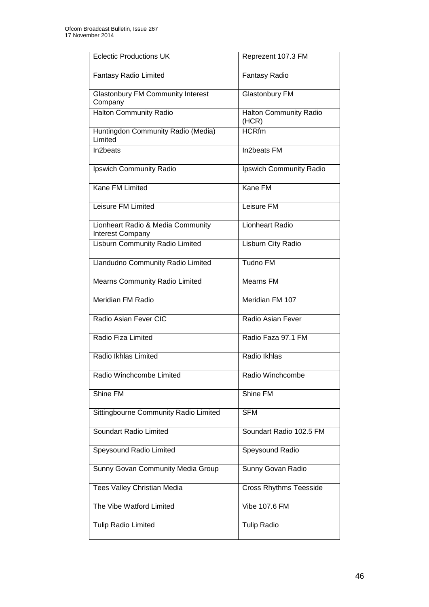| <b>Eclectic Productions UK</b>                        | Reprezent 107.3 FM                     |
|-------------------------------------------------------|----------------------------------------|
| Fantasy Radio Limited                                 | <b>Fantasy Radio</b>                   |
| <b>Glastonbury FM Community Interest</b><br>Company   | Glastonbury FM                         |
| Halton Community Radio                                | <b>Halton Community Radio</b><br>(HCR) |
| Huntingdon Community Radio (Media)<br>Limited         | <b>HCRfm</b>                           |
| In2beats                                              | In2beats FM                            |
| Ipswich Community Radio                               | Ipswich Community Radio                |
| Kane FM Limited                                       | Kane FM                                |
| Leisure FM Limited                                    | Leisure FM                             |
| Lionheart Radio & Media Community<br>Interest Company | <b>Lionheart Radio</b>                 |
| <b>Lisburn Community Radio Limited</b>                | Lisburn City Radio                     |
| Llandudno Community Radio Limited                     | <b>Tudno FM</b>                        |
| Mearns Community Radio Limited                        | <b>Mearns FM</b>                       |
| Meridian FM Radio                                     | Meridian FM 107                        |
| Radio Asian Fever CIC                                 | Radio Asian Fever                      |
| Radio Fiza Limited                                    | Radio Faza 97.1 FM                     |
| Radio Ikhlas Limited                                  | Radio Ikhlas                           |
| Radio Winchcombe Limited                              | Radio Winchcombe                       |
| Shine FM                                              | Shine FM                               |
| Sittingbourne Community Radio Limited                 | <b>SFM</b>                             |
| Soundart Radio Limited                                | Soundart Radio 102.5 FM                |
| Speysound Radio Limited                               | Speysound Radio                        |
| Sunny Govan Community Media Group                     | Sunny Govan Radio                      |
| Tees Valley Christian Media                           | <b>Cross Rhythms Teesside</b>          |
| The Vibe Watford Limited                              | Vibe 107.6 FM                          |
| <b>Tulip Radio Limited</b>                            | <b>Tulip Radio</b>                     |